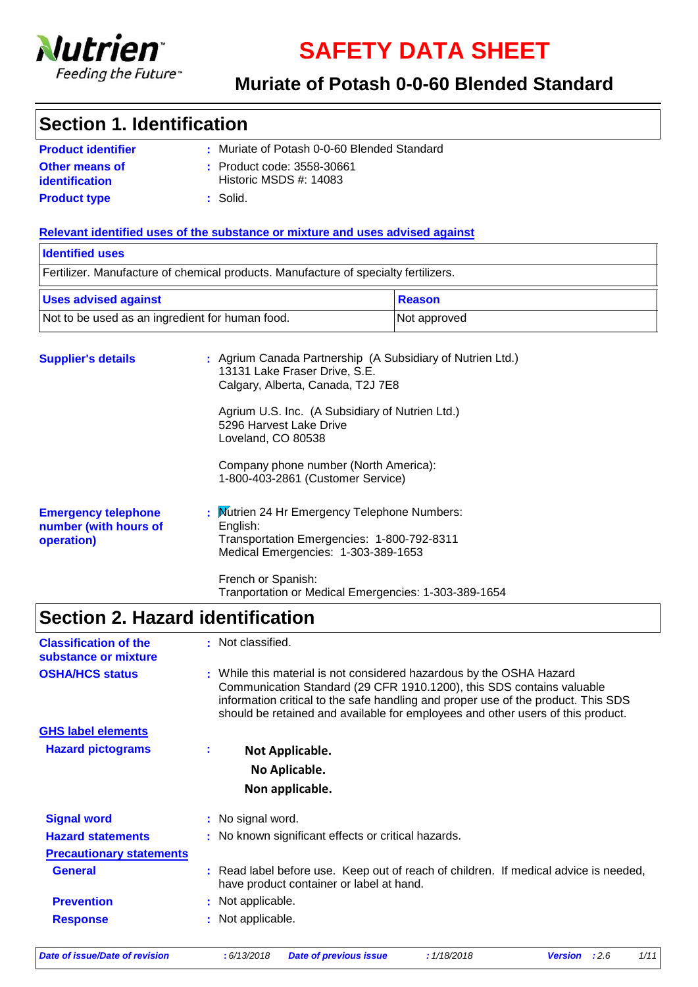

**SAFETY DATA SHEET**

### **Muriate of Potash 0-0-60 Blended Standard**

### **Section 1. Identification**

| <b>Product identifier</b> | : Muriate of Potash 0-0-60 Blended Standard |
|---------------------------|---------------------------------------------|
| <b>Other means of</b>     | : Product code: 3558-30661                  |
| identification            | Historic MSDS $#: 14083$                    |
| <b>Product type</b>       | ∴ Solid.                                    |

### **Relevant identified uses of the substance or mixture and uses advised against**

| <b>Identified uses</b>                          |                                                                                     |                                                          |  |
|-------------------------------------------------|-------------------------------------------------------------------------------------|----------------------------------------------------------|--|
|                                                 | Fertilizer. Manufacture of chemical products. Manufacture of specialty fertilizers. |                                                          |  |
| <b>Uses advised against</b>                     |                                                                                     | Reason                                                   |  |
| Not to be used as an ingredient for human food. |                                                                                     | Not approved                                             |  |
| <b>Supplier's details</b>                       |                                                                                     | Agrium Canada Partnership (A Subsidiary of Nutrien Ltd.) |  |

| <b>OUPPILY OF MOTOR OF</b>                                        | $\cdot$ represent corrected and constructed processes of the correction $\sim$<br>13131 Lake Fraser Drive, S.E.<br>Calgary, Alberta, Canada, T2J 7E8 |
|-------------------------------------------------------------------|------------------------------------------------------------------------------------------------------------------------------------------------------|
|                                                                   | Agrium U.S. Inc. (A Subsidiary of Nutrien Ltd.)<br>5296 Harvest Lake Drive<br>Loveland, CO 80538                                                     |
|                                                                   | Company phone number (North America):<br>1-800-403-2861 (Customer Service)                                                                           |
| <b>Emergency telephone</b><br>number (with hours of<br>operation) | : Mutrien 24 Hr Emergency Telephone Numbers:<br>English:<br>Transportation Emergencies: 1-800-792-8311<br>Medical Emergencies: 1-303-389-1653        |
|                                                                   | French or Spanish:<br>Tranportation or Medical Emergencies: 1-303-389-1654                                                                           |

# **Section 2. Hazard identification**

| <b>Classification of the</b><br>substance or mixture |    | : Not classified.                                                                                                                                                                                                                                                                                                     |
|------------------------------------------------------|----|-----------------------------------------------------------------------------------------------------------------------------------------------------------------------------------------------------------------------------------------------------------------------------------------------------------------------|
| <b>OSHA/HCS status</b>                               |    | : While this material is not considered hazardous by the OSHA Hazard<br>Communication Standard (29 CFR 1910.1200), this SDS contains valuable<br>information critical to the safe handling and proper use of the product. This SDS<br>should be retained and available for employees and other users of this product. |
| <b>GHS label elements</b>                            |    |                                                                                                                                                                                                                                                                                                                       |
| <b>Hazard pictograms</b>                             | ÷. | Not Applicable.                                                                                                                                                                                                                                                                                                       |
|                                                      |    | No Aplicable.                                                                                                                                                                                                                                                                                                         |
|                                                      |    | Non applicable.                                                                                                                                                                                                                                                                                                       |
| <b>Signal word</b>                                   |    | : No signal word.                                                                                                                                                                                                                                                                                                     |
| <b>Hazard statements</b>                             |    | : No known significant effects or critical hazards.                                                                                                                                                                                                                                                                   |
| <b>Precautionary statements</b>                      |    |                                                                                                                                                                                                                                                                                                                       |
| <b>General</b>                                       |    | : Read label before use. Keep out of reach of children. If medical advice is needed,<br>have product container or label at hand.                                                                                                                                                                                      |
| <b>Prevention</b>                                    |    | : Not applicable.                                                                                                                                                                                                                                                                                                     |
| <b>Response</b>                                      |    | : Not applicable.                                                                                                                                                                                                                                                                                                     |
|                                                      |    |                                                                                                                                                                                                                                                                                                                       |

*Date of issue/Date of revision* **:** *6/13/2018 Date of previous issue : 1/18/2018 Version : 2.6 1/11*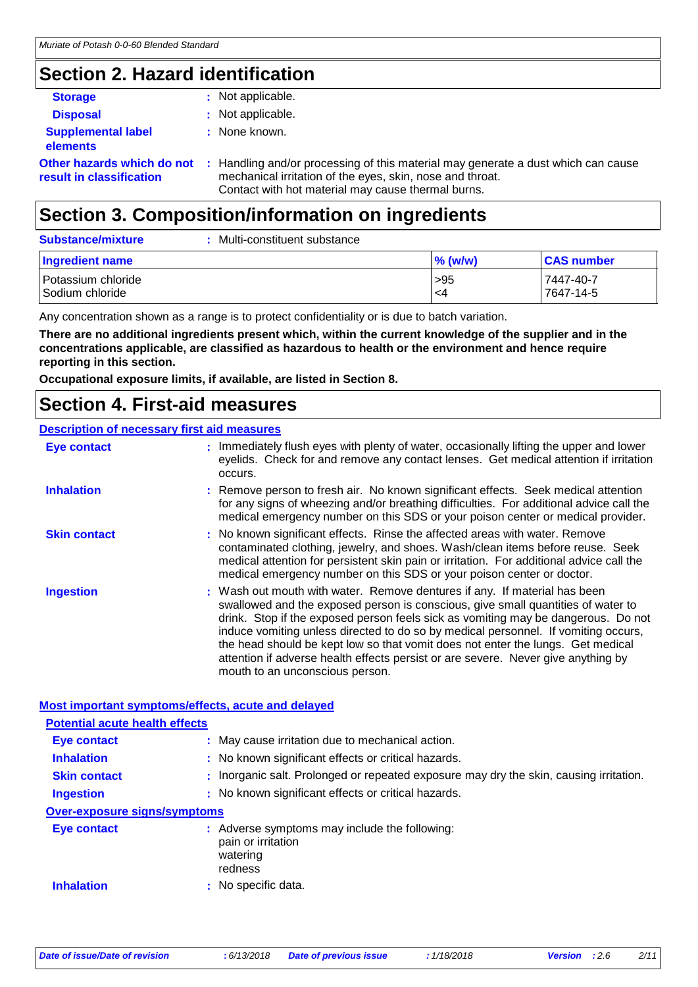## **Section 2. Hazard identification**

| <b>Storage</b>                                         | : Not applicable.                                                                                                                                                                                    |
|--------------------------------------------------------|------------------------------------------------------------------------------------------------------------------------------------------------------------------------------------------------------|
| <b>Disposal</b>                                        | : Not applicable.                                                                                                                                                                                    |
| <b>Supplemental label</b><br>elements                  | : None known.                                                                                                                                                                                        |
| Other hazards which do not<br>result in classification | : Handling and/or processing of this material may generate a dust which can cause<br>mechanical irritation of the eyes, skin, nose and throat.<br>Contact with hot material may cause thermal burns. |

## **Section 3. Composition/information on ingredients**

| <b>Substance/mixture</b>              | Multi-constituent substance |            |                        |
|---------------------------------------|-----------------------------|------------|------------------------|
| Ingredient name                       |                             | $\%$ (w/w) | <b>CAS number</b>      |
| Potassium chloride<br>Sodium chloride |                             | >95<br>-4  | 7447-40-7<br>7647-14-5 |

Any concentration shown as a range is to protect confidentiality or is due to batch variation.

**There are no additional ingredients present which, within the current knowledge of the supplier and in the concentrations applicable, are classified as hazardous to health or the environment and hence require reporting in this section.**

**Occupational exposure limits, if available, are listed in Section 8.**

### **Section 4. First-aid measures**

### **Description of necessary first aid measures**

| <b>Eye contact</b>  | : Immediately flush eyes with plenty of water, occasionally lifting the upper and lower<br>eyelids. Check for and remove any contact lenses. Get medical attention if irritation<br>occurs.                                                                                                                                                                                                                                                                                                                                                         |
|---------------------|-----------------------------------------------------------------------------------------------------------------------------------------------------------------------------------------------------------------------------------------------------------------------------------------------------------------------------------------------------------------------------------------------------------------------------------------------------------------------------------------------------------------------------------------------------|
| <b>Inhalation</b>   | : Remove person to fresh air. No known significant effects. Seek medical attention<br>for any signs of wheezing and/or breathing difficulties. For additional advice call the<br>medical emergency number on this SDS or your poison center or medical provider.                                                                                                                                                                                                                                                                                    |
| <b>Skin contact</b> | : No known significant effects. Rinse the affected areas with water. Remove<br>contaminated clothing, jewelry, and shoes. Wash/clean items before reuse. Seek<br>medical attention for persistent skin pain or irritation. For additional advice call the<br>medical emergency number on this SDS or your poison center or doctor.                                                                                                                                                                                                                  |
| <b>Ingestion</b>    | : Wash out mouth with water. Remove dentures if any. If material has been<br>swallowed and the exposed person is conscious, give small quantities of water to<br>drink. Stop if the exposed person feels sick as vomiting may be dangerous. Do not<br>induce vomiting unless directed to do so by medical personnel. If vomiting occurs,<br>the head should be kept low so that vomit does not enter the lungs. Get medical<br>attention if adverse health effects persist or are severe. Never give anything by<br>mouth to an unconscious person. |

#### **Most important symptoms/effects, acute and delayed**

| <b>Potential acute health effects</b> |                                                                                            |
|---------------------------------------|--------------------------------------------------------------------------------------------|
| <b>Eye contact</b>                    | : May cause irritation due to mechanical action.                                           |
| <b>Inhalation</b>                     | : No known significant effects or critical hazards.                                        |
| <b>Skin contact</b>                   | : Inorganic salt. Prolonged or repeated exposure may dry the skin, causing irritation.     |
| <b>Ingestion</b>                      | : No known significant effects or critical hazards.                                        |
| <b>Over-exposure signs/symptoms</b>   |                                                                                            |
| Eye contact                           | : Adverse symptoms may include the following:<br>pain or irritation<br>watering<br>redness |
| <b>Inhalation</b>                     | : No specific data.                                                                        |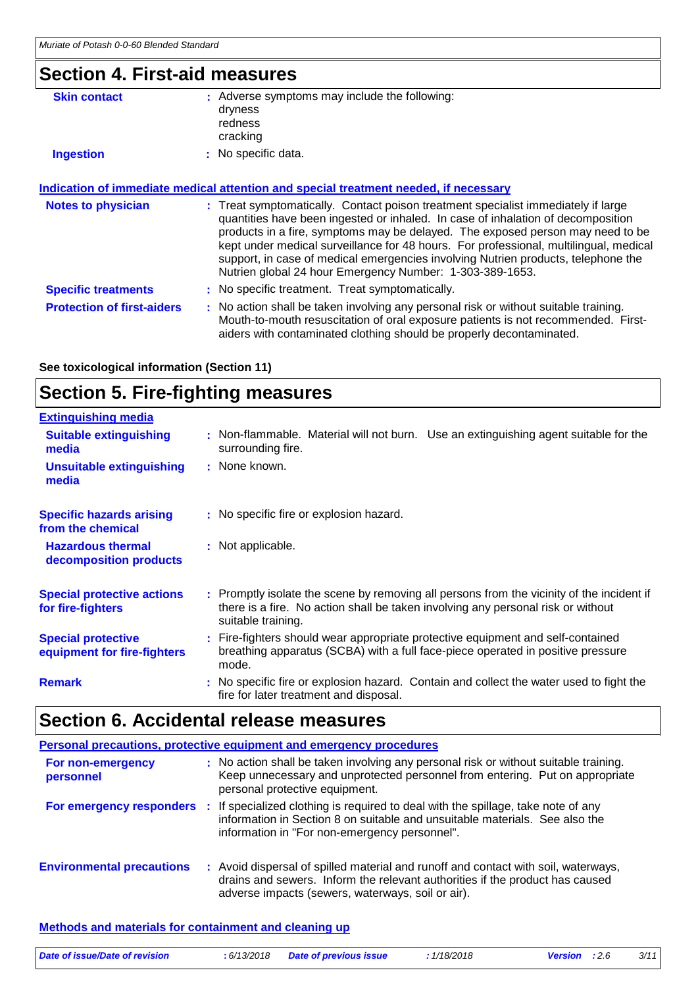### **Section 4. First-aid measures**

| <b>Skin contact</b>        | : Adverse symptoms may include the following:<br>dryness<br>redness<br>cracking                                                                                                                                                                                                                                                                                                                                                                                                                   |  |
|----------------------------|---------------------------------------------------------------------------------------------------------------------------------------------------------------------------------------------------------------------------------------------------------------------------------------------------------------------------------------------------------------------------------------------------------------------------------------------------------------------------------------------------|--|
| <b>Ingestion</b>           | : No specific data.                                                                                                                                                                                                                                                                                                                                                                                                                                                                               |  |
|                            | Indication of immediate medical attention and special treatment needed, if necessary                                                                                                                                                                                                                                                                                                                                                                                                              |  |
| <b>Notes to physician</b>  | : Treat symptomatically. Contact poison treatment specialist immediately if large<br>quantities have been ingested or inhaled. In case of inhalation of decomposition<br>products in a fire, symptoms may be delayed. The exposed person may need to be<br>kept under medical surveillance for 48 hours. For professional, multilingual, medical<br>support, in case of medical emergencies involving Nutrien products, telephone the<br>Nutrien global 24 hour Emergency Number: 1-303-389-1653. |  |
| <b>Specific treatments</b> | : No specific treatment. Treat symptomatically.                                                                                                                                                                                                                                                                                                                                                                                                                                                   |  |

**Protection of first-aiders** : No action shall be taken involving any personal risk or without suitable training. Mouth-to-mouth resuscitation of oral exposure patients is not recommended. Firstaiders with contaminated clothing should be properly decontaminated.

**See toxicological information (Section 11)**

# **Section 5. Fire-fighting measures**

| <b>Extinguishing media</b>                               |                                                                                                                                                                                                     |
|----------------------------------------------------------|-----------------------------------------------------------------------------------------------------------------------------------------------------------------------------------------------------|
| <b>Suitable extinguishing</b><br>media                   | : Non-flammable. Material will not burn. Use an extinguishing agent suitable for the<br>surrounding fire.                                                                                           |
| <b>Unsuitable extinguishing</b><br>media                 | : None known.                                                                                                                                                                                       |
| <b>Specific hazards arising</b><br>from the chemical     | : No specific fire or explosion hazard.                                                                                                                                                             |
| <b>Hazardous thermal</b><br>decomposition products       | : Not applicable.                                                                                                                                                                                   |
| <b>Special protective actions</b><br>for fire-fighters   | : Promptly isolate the scene by removing all persons from the vicinity of the incident if<br>there is a fire. No action shall be taken involving any personal risk or without<br>suitable training. |
| <b>Special protective</b><br>equipment for fire-fighters | : Fire-fighters should wear appropriate protective equipment and self-contained<br>breathing apparatus (SCBA) with a full face-piece operated in positive pressure<br>mode.                         |
| <b>Remark</b>                                            | : No specific fire or explosion hazard. Contain and collect the water used to fight the<br>fire for later treatment and disposal.                                                                   |

# **Section 6. Accidental release measures**

| Personal precautions, protective equipment and emergency procedures |  |                                                                                                                                                                                                                                            |
|---------------------------------------------------------------------|--|--------------------------------------------------------------------------------------------------------------------------------------------------------------------------------------------------------------------------------------------|
| For non-emergency<br>personnel                                      |  | : No action shall be taken involving any personal risk or without suitable training.<br>Keep unnecessary and unprotected personnel from entering. Put on appropriate<br>personal protective equipment.                                     |
|                                                                     |  | For emergency responders : If specialized clothing is required to deal with the spillage, take note of any<br>information in Section 8 on suitable and unsuitable materials. See also the<br>information in "For non-emergency personnel". |
| <b>Environmental precautions</b>                                    |  | : Avoid dispersal of spilled material and runoff and contact with soil, waterways,<br>drains and sewers. Inform the relevant authorities if the product has caused<br>adverse impacts (sewers, waterways, soil or air).                    |

#### **Methods and materials for containment and cleaning up**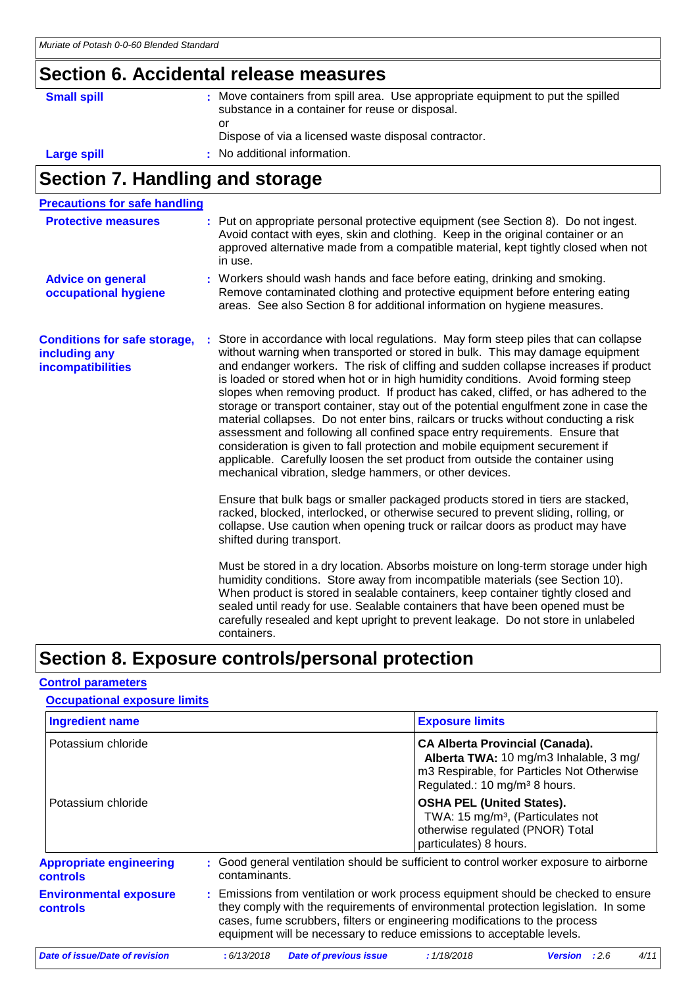# **Section 6. Accidental release measures**

| <b>Small spill</b> | : Move containers from spill area. Use appropriate equipment to put the spilled<br>substance in a container for reuse or disposal. |
|--------------------|------------------------------------------------------------------------------------------------------------------------------------|
|                    | or<br>Dispose of via a licensed waste disposal contractor.                                                                         |
| <b>Large spill</b> | : No additional information.                                                                                                       |

# **Section 7. Handling and storage**

| <b>Precautions for safe handling</b>                                      |                                                                                                                                                                                                                                                                                                                                                                                                                                                                                                                                                                                                                                                                                                                                                                                                                                                                                                                                 |
|---------------------------------------------------------------------------|---------------------------------------------------------------------------------------------------------------------------------------------------------------------------------------------------------------------------------------------------------------------------------------------------------------------------------------------------------------------------------------------------------------------------------------------------------------------------------------------------------------------------------------------------------------------------------------------------------------------------------------------------------------------------------------------------------------------------------------------------------------------------------------------------------------------------------------------------------------------------------------------------------------------------------|
| <b>Protective measures</b>                                                | : Put on appropriate personal protective equipment (see Section 8). Do not ingest.<br>Avoid contact with eyes, skin and clothing. Keep in the original container or an<br>approved alternative made from a compatible material, kept tightly closed when not<br>in use.                                                                                                                                                                                                                                                                                                                                                                                                                                                                                                                                                                                                                                                         |
| <b>Advice on general</b><br>occupational hygiene                          | : Workers should wash hands and face before eating, drinking and smoking.<br>Remove contaminated clothing and protective equipment before entering eating<br>areas. See also Section 8 for additional information on hygiene measures.                                                                                                                                                                                                                                                                                                                                                                                                                                                                                                                                                                                                                                                                                          |
| <b>Conditions for safe storage,</b><br>including any<br>incompatibilities | Store in accordance with local regulations. May form steep piles that can collapse<br>without warning when transported or stored in bulk. This may damage equipment<br>and endanger workers. The risk of cliffing and sudden collapse increases if product<br>is loaded or stored when hot or in high humidity conditions. Avoid forming steep<br>slopes when removing product. If product has caked, cliffed, or has adhered to the<br>storage or transport container, stay out of the potential engulfment zone in case the<br>material collapses. Do not enter bins, railcars or trucks without conducting a risk<br>assessment and following all confined space entry requirements. Ensure that<br>consideration is given to fall protection and mobile equipment securement if<br>applicable. Carefully loosen the set product from outside the container using<br>mechanical vibration, sledge hammers, or other devices. |
|                                                                           | Ensure that bulk bags or smaller packaged products stored in tiers are stacked,<br>racked, blocked, interlocked, or otherwise secured to prevent sliding, rolling, or<br>collapse. Use caution when opening truck or railcar doors as product may have<br>shifted during transport.                                                                                                                                                                                                                                                                                                                                                                                                                                                                                                                                                                                                                                             |
|                                                                           | Must be stored in a dry location. Absorbs moisture on long-term storage under high<br>humidity conditions. Store away from incompatible materials (see Section 10).<br>When product is stored in sealable containers, keep container tightly closed and<br>sealed until ready for use. Sealable containers that have been opened must be<br>carefully resealed and kept upright to prevent leakage. Do not store in unlabeled<br>containers.                                                                                                                                                                                                                                                                                                                                                                                                                                                                                    |

### **Section 8. Exposure controls/personal protection**

### **Control parameters**

| <b>Occupational exposure limits</b>               |               |                                                                                                                                                                                                                                                                                                                                 |                                                                                                                                                                             |                |      |      |
|---------------------------------------------------|---------------|---------------------------------------------------------------------------------------------------------------------------------------------------------------------------------------------------------------------------------------------------------------------------------------------------------------------------------|-----------------------------------------------------------------------------------------------------------------------------------------------------------------------------|----------------|------|------|
| <b>Ingredient name</b>                            |               |                                                                                                                                                                                                                                                                                                                                 | <b>Exposure limits</b>                                                                                                                                                      |                |      |      |
| Potassium chloride                                |               |                                                                                                                                                                                                                                                                                                                                 | <b>CA Alberta Provincial (Canada).</b><br>Alberta TWA: 10 mg/m3 Inhalable, 3 mg/<br>m3 Respirable, for Particles Not Otherwise<br>Regulated.: 10 mg/m <sup>3</sup> 8 hours. |                |      |      |
| Potassium chloride                                |               |                                                                                                                                                                                                                                                                                                                                 | <b>OSHA PEL (United States).</b><br>TWA: 15 mg/m <sup>3</sup> , (Particulates not<br>otherwise regulated (PNOR) Total<br>particulates) 8 hours.                             |                |      |      |
| <b>Appropriate engineering</b><br><b>controls</b> | contaminants. | : Good general ventilation should be sufficient to control worker exposure to airborne                                                                                                                                                                                                                                          |                                                                                                                                                                             |                |      |      |
| <b>Environmental exposure</b><br><b>controls</b>  |               | : Emissions from ventilation or work process equipment should be checked to ensure<br>they comply with the requirements of environmental protection legislation. In some<br>cases, fume scrubbers, filters or engineering modifications to the process<br>equipment will be necessary to reduce emissions to acceptable levels. |                                                                                                                                                                             |                |      |      |
| Date of issue/Date of revision                    | : 6/13/2018   | <b>Date of previous issue</b>                                                                                                                                                                                                                                                                                                   | : 1/18/2018                                                                                                                                                                 | <b>Version</b> | :2.6 | 4/11 |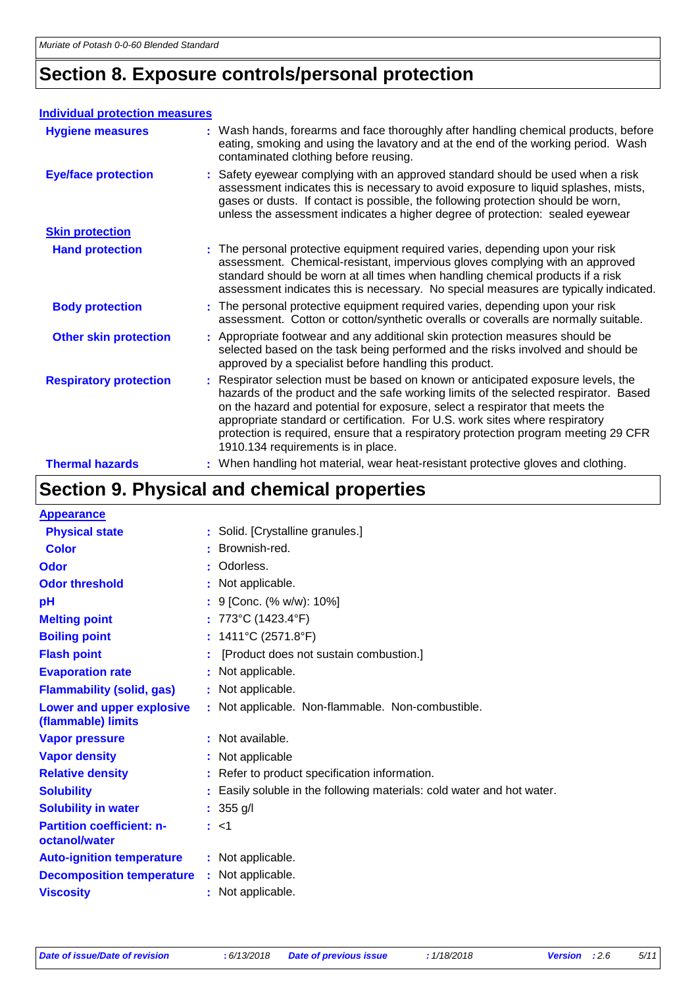# **Section 8. Exposure controls/personal protection**

#### **Individual protection measures**

| <b>Hygiene measures</b>       | : Wash hands, forearms and face thoroughly after handling chemical products, before<br>eating, smoking and using the lavatory and at the end of the working period. Wash<br>contaminated clothing before reusing.                                                                                                                                                                                                                                                      |
|-------------------------------|------------------------------------------------------------------------------------------------------------------------------------------------------------------------------------------------------------------------------------------------------------------------------------------------------------------------------------------------------------------------------------------------------------------------------------------------------------------------|
| <b>Eye/face protection</b>    | : Safety eyewear complying with an approved standard should be used when a risk<br>assessment indicates this is necessary to avoid exposure to liquid splashes, mists,<br>gases or dusts. If contact is possible, the following protection should be worn,<br>unless the assessment indicates a higher degree of protection: sealed eyewear                                                                                                                            |
| <b>Skin protection</b>        |                                                                                                                                                                                                                                                                                                                                                                                                                                                                        |
| <b>Hand protection</b>        | : The personal protective equipment required varies, depending upon your risk<br>assessment. Chemical-resistant, impervious gloves complying with an approved<br>standard should be worn at all times when handling chemical products if a risk<br>assessment indicates this is necessary. No special measures are typically indicated.                                                                                                                                |
| <b>Body protection</b>        | : The personal protective equipment required varies, depending upon your risk<br>assessment. Cotton or cotton/synthetic overalls or coveralls are normally suitable.                                                                                                                                                                                                                                                                                                   |
| <b>Other skin protection</b>  | : Appropriate footwear and any additional skin protection measures should be<br>selected based on the task being performed and the risks involved and should be<br>approved by a specialist before handling this product.                                                                                                                                                                                                                                              |
| <b>Respiratory protection</b> | : Respirator selection must be based on known or anticipated exposure levels, the<br>hazards of the product and the safe working limits of the selected respirator. Based<br>on the hazard and potential for exposure, select a respirator that meets the<br>appropriate standard or certification. For U.S. work sites where respiratory<br>protection is required, ensure that a respiratory protection program meeting 29 CFR<br>1910.134 requirements is in place. |
| <b>Thermal hazards</b>        | : When handling hot material, wear heat-resistant protective gloves and clothing.                                                                                                                                                                                                                                                                                                                                                                                      |

# **Section 9. Physical and chemical properties**

| <b>Appearance</b>                                 |                                                                            |
|---------------------------------------------------|----------------------------------------------------------------------------|
| <b>Physical state</b>                             | : Solid. [Crystalline granules.]                                           |
| <b>Color</b>                                      | Brownish-red.                                                              |
| Odor                                              | : Odorless.                                                                |
| <b>Odor threshold</b>                             | : Not applicable.                                                          |
| рH                                                | : 9 [Conc. (% w/w): 10%]                                                   |
| <b>Melting point</b>                              | : 773°C (1423.4°F)                                                         |
| <b>Boiling point</b>                              | : $1411^{\circ}C(2571.8^{\circ}F)$                                         |
| <b>Flash point</b>                                | [Product does not sustain combustion.]                                     |
| <b>Evaporation rate</b>                           | : Not applicable.                                                          |
| <b>Flammability (solid, gas)</b>                  | : Not applicable.                                                          |
| Lower and upper explosive<br>(flammable) limits   | : Not applicable. Non-flammable. Non-combustible.                          |
| <b>Vapor pressure</b>                             | : Not available.                                                           |
| <b>Vapor density</b>                              | : Not applicable                                                           |
| <b>Relative density</b>                           | : Refer to product specification information.                              |
| <b>Solubility</b>                                 | Easily soluble in the following materials: cold water and hot water.<br>t. |
| <b>Solubility in water</b>                        | : $355$ g/l                                                                |
| <b>Partition coefficient: n-</b><br>octanol/water | : <1                                                                       |
| <b>Auto-ignition temperature</b>                  | : Not applicable.                                                          |
| <b>Decomposition temperature</b>                  | : Not applicable.                                                          |
| <b>Viscosity</b>                                  | : Not applicable.                                                          |
|                                                   |                                                                            |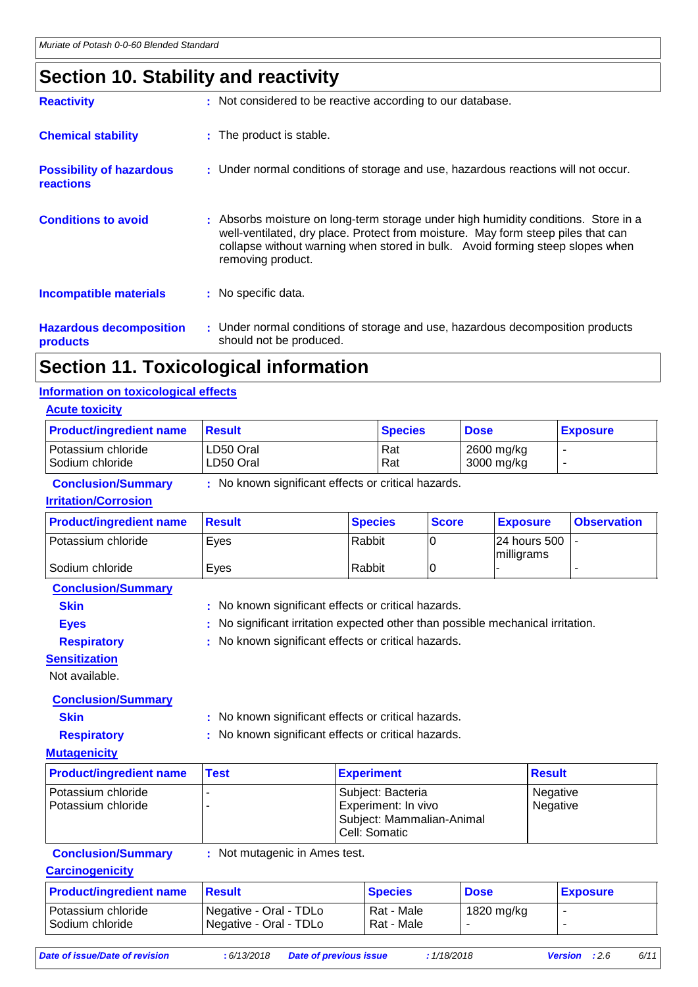### **Section 10. Stability and reactivity**

| <b>Reactivity</b>                                   | : Not considered to be reactive according to our database.                                                                                                                                                                                                                   |
|-----------------------------------------------------|------------------------------------------------------------------------------------------------------------------------------------------------------------------------------------------------------------------------------------------------------------------------------|
| <b>Chemical stability</b>                           | : The product is stable.                                                                                                                                                                                                                                                     |
| <b>Possibility of hazardous</b><br><b>reactions</b> | : Under normal conditions of storage and use, hazardous reactions will not occur.                                                                                                                                                                                            |
| <b>Conditions to avoid</b>                          | : Absorbs moisture on long-term storage under high humidity conditions. Store in a<br>well-ventilated, dry place. Protect from moisture. May form steep piles that can<br>collapse without warning when stored in bulk. Avoid forming steep slopes when<br>removing product. |
| <b>Incompatible materials</b>                       | : No specific data.                                                                                                                                                                                                                                                          |
| <b>Hazardous decomposition</b><br>products          | : Under normal conditions of storage and use, hazardous decomposition products<br>should not be produced.                                                                                                                                                                    |
|                                                     |                                                                                                                                                                                                                                                                              |

### **Section 11. Toxicological information**

### **Information on toxicological effects**

| <b>Acute toxicity</b>                 |                        |                |                          |                 |
|---------------------------------------|------------------------|----------------|--------------------------|-----------------|
| <b>Product/ingredient name</b>        | <b>Result</b>          | <b>Species</b> | <b>Dose</b>              | <b>Exposure</b> |
| Potassium chloride<br>Sodium chloride | LD50 Oral<br>LD50 Oral | l Rat<br>Rat   | 2600 mg/kg<br>3000 mg/kg | -               |

#### **Conclusion/Summary :** No known significant effects or critical hazards.

#### **Irritation/Corrosion**

| <b>Product/ingredient name</b> | ⊺Result | <b>Species</b> | <b>Score</b> | <b>Exposure</b>                | <b>Observation</b> |
|--------------------------------|---------|----------------|--------------|--------------------------------|--------------------|
| Potassium chloride             | Eves    | Rabbit         |              | 124 hours 500 1-<br>milligrams |                    |
| Sodium chloride                | Eves    | Rabbit         |              |                                |                    |

**Conclusion/Summary**

- **Skin** : No known significant effects or critical hazards.
	-
- **Eyes** : No significant irritation expected other than possible mechanical irritation.

**Respiratory :** No known significant effects or critical hazards.

**Sensitization**

Not available.

### **Conclusion/Summary**

**Skin :** No known significant effects or critical hazards.

**Respiratory :** No known significant effects or critical hazards.

#### **Mutagenicity**

| <b>Product/ingredient name</b> | Test | <b>Experiment</b>         | <u>Result</u> |
|--------------------------------|------|---------------------------|---------------|
| l Potassium chloride           |      | Subject: Bacteria         | Negative      |
| Potassium chloride             |      | Experiment: In vivo       | Negative      |
|                                |      | Subject: Mammalian-Animal |               |
|                                |      | Cell: Somatic             |               |

**Conclusion/Summary :** Not mutagenic in Ames test.

#### **Carcinogenicity**

| <b>Product/ingredient name</b>          | ⊪Result                                                       | <b>Species</b>           | <b>Dose</b> | <b>Exposure</b> |
|-----------------------------------------|---------------------------------------------------------------|--------------------------|-------------|-----------------|
| Potassium chloride<br>l Sodium chloride | Negative - Oral - TDLo<br><sup>1</sup> Negative - Oral - TDLo | Rat - Male<br>Rat - Male | 1820 mg/kg  |                 |

*Date of issue/Date of revision* **:** *6/13/2018 Date of previous issue : 1/18/2018 Version : 2.6 6/11*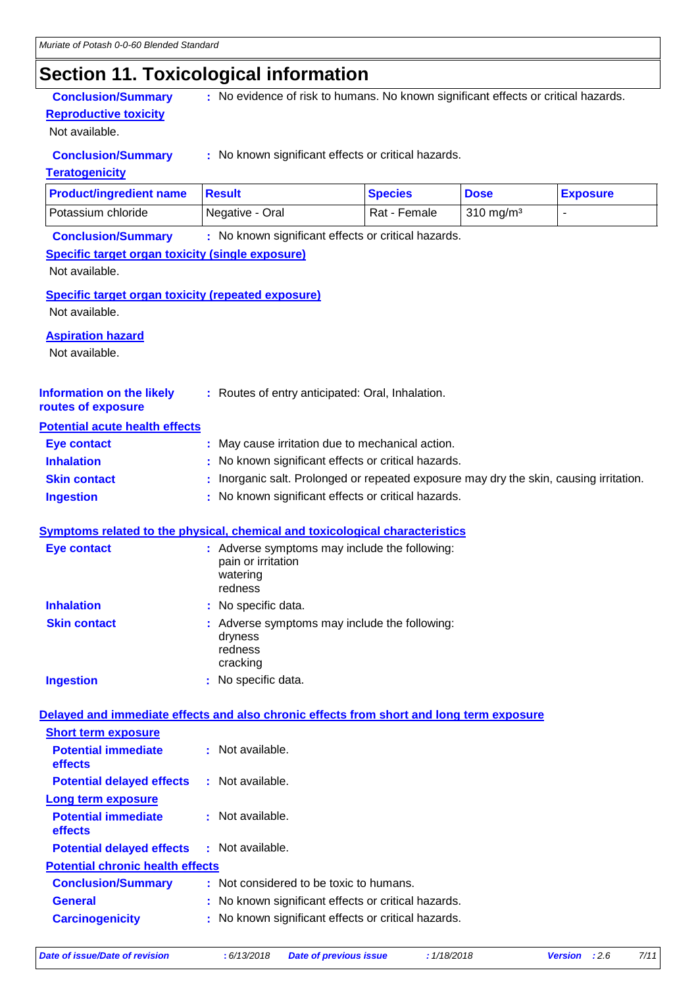## **Section 11. Toxicological information**

**Reproductive toxicity**

Not available.

**Conclusion/Summary** : No evidence of risk to humans. No known significant effects or critical hazards.

**Conclusion/Summary :** No known significant effects or critical hazards.

### **Teratogenicity**

| <b>Product/ingredient name</b> | ⊪Result         | <b>Species</b> | <b>Dose</b>          | <b>Exposure</b> |
|--------------------------------|-----------------|----------------|----------------------|-----------------|
| <b>Potassium chloride</b>      | Negative - Oral | Rat - Female   | $310 \text{ mg/m}^3$ |                 |

**Conclusion/Summary :** No known significant effects or critical hazards.

### **Specific target organ toxicity (single exposure)**

Not available.

**Specific target organ toxicity (repeated exposure)**

Not available.

### **Aspiration hazard**

Not available.

| <b>Information on the likely</b> | : Routes of entry anticipated: Oral, Inhalation. |
|----------------------------------|--------------------------------------------------|
|                                  |                                                  |

### **routes of exposure Potential acute health effects**

| Eye contact         | : May cause irritation due to mechanical action.                                       |
|---------------------|----------------------------------------------------------------------------------------|
| <b>Inhalation</b>   | : No known significant effects or critical hazards.                                    |
| <b>Skin contact</b> | : Inorganic salt. Prolonged or repeated exposure may dry the skin, causing irritation. |
| <b>Ingestion</b>    | : No known significant effects or critical hazards.                                    |

#### **Symptoms related to the physical, chemical and toxicological characteristics**

| <b>Eye contact</b>  | : Adverse symptoms may include the following:<br>pain or irritation<br>watering<br>redness |
|---------------------|--------------------------------------------------------------------------------------------|
| <b>Inhalation</b>   | : No specific data.                                                                        |
| <b>Skin contact</b> | : Adverse symptoms may include the following:<br>dryness<br>redness<br>cracking            |
| <b>Ingestion</b>    | No specific data.                                                                          |

#### **Delayed and immediate effects and also chronic effects from short and long term exposure**

| <b>Short term exposure</b>                        |                                                     |
|---------------------------------------------------|-----------------------------------------------------|
| <b>Potential immediate</b><br>effects             | $\pm$ Not available.                                |
| <b>Potential delayed effects</b>                  | : Not available.                                    |
| Long term exposure                                |                                                     |
| <b>Potential immediate</b><br>effects             | : Not available.                                    |
| <b>Potential delayed effects : Not available.</b> |                                                     |
| <b>Potential chronic health effects</b>           |                                                     |
| <b>Conclusion/Summary</b>                         | : Not considered to be toxic to humans.             |
| <b>General</b>                                    | : No known significant effects or critical hazards. |
| <b>Carcinogenicity</b>                            | : No known significant effects or critical hazards. |
|                                                   |                                                     |

*Date of issue/Date of revision* **:** *6/13/2018 Date of previous issue : 1/18/2018 Version : 2.6 7/11*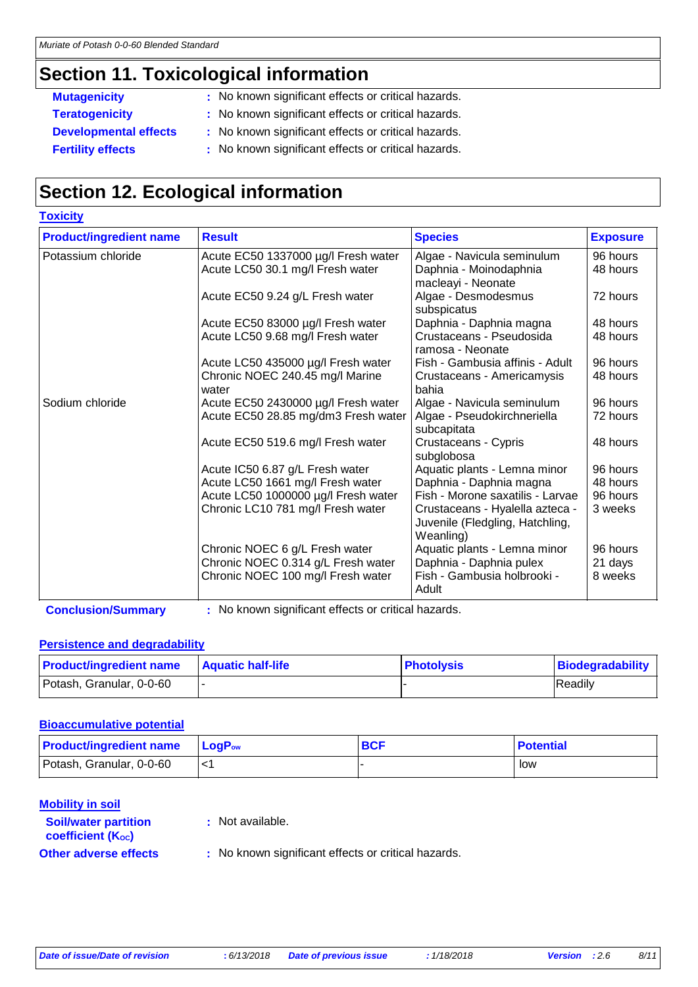### **Section 11. Toxicological information**

**Toxicity**

- **Mutagenicity** : No known significant effects or critical hazards.
- **Teratogenicity :** No known significant effects or critical hazards.
- **Developmental effects :** No known significant effects or critical hazards.
- **Fertility effects** : No known significant effects or critical hazards.

# **Section 12. Ecological information**

| <b>TOXICITY</b>                |                                     |                                                                    |                 |
|--------------------------------|-------------------------------------|--------------------------------------------------------------------|-----------------|
| <b>Product/ingredient name</b> | <b>Result</b>                       | <b>Species</b>                                                     | <b>Exposure</b> |
| Potassium chloride             | Acute EC50 1337000 µg/l Fresh water | Algae - Navicula seminulum                                         | 96 hours        |
|                                | Acute LC50 30.1 mg/l Fresh water    | Daphnia - Moinodaphnia                                             | 48 hours        |
|                                |                                     | macleayi - Neonate                                                 |                 |
|                                | Acute EC50 9.24 g/L Fresh water     | Algae - Desmodesmus<br>subspicatus                                 | 72 hours        |
|                                | Acute EC50 83000 µg/l Fresh water   | Daphnia - Daphnia magna                                            | 48 hours        |
|                                | Acute LC50 9.68 mg/l Fresh water    | Crustaceans - Pseudosida<br>ramosa - Neonate                       | 48 hours        |
|                                | Acute LC50 435000 µg/l Fresh water  | Fish - Gambusia affinis - Adult                                    | 96 hours        |
|                                | Chronic NOEC 240.45 mg/l Marine     | Crustaceans - Americamysis                                         | 48 hours        |
|                                | water                               | bahia                                                              |                 |
| Sodium chloride                | Acute EC50 2430000 µg/l Fresh water | Algae - Navicula seminulum                                         | 96 hours        |
|                                | Acute EC50 28.85 mg/dm3 Fresh water | Algae - Pseudokirchneriella<br>subcapitata                         | 72 hours        |
|                                | Acute EC50 519.6 mg/l Fresh water   | Crustaceans - Cypris<br>subglobosa                                 | 48 hours        |
|                                | Acute IC50 6.87 g/L Fresh water     | Aquatic plants - Lemna minor                                       | 96 hours        |
|                                | Acute LC50 1661 mg/l Fresh water    | Daphnia - Daphnia magna                                            | 48 hours        |
|                                | Acute LC50 1000000 µg/l Fresh water | Fish - Morone saxatilis - Larvae                                   | 96 hours        |
|                                | Chronic LC10 781 mg/l Fresh water   | Crustaceans - Hyalella azteca -<br>Juvenile (Fledgling, Hatchling, | 3 weeks         |
|                                |                                     | Weanling)                                                          |                 |
|                                | Chronic NOEC 6 g/L Fresh water      | Aquatic plants - Lemna minor                                       | 96 hours        |
|                                | Chronic NOEC 0.314 g/L Fresh water  | Daphnia - Daphnia pulex                                            | 21 days         |
|                                | Chronic NOEC 100 mg/l Fresh water   | Fish - Gambusia holbrooki -                                        | 8 weeks         |
|                                |                                     | Adult                                                              |                 |

**Conclusion/Summary :** No known significant effects or critical hazards.

### **Persistence and degradability**

| <b>Product/ingredient name</b> | <b>Aquatic half-life</b> | <b>Photolysis</b> | Biodegradability |
|--------------------------------|--------------------------|-------------------|------------------|
| Potash, Granular, 0-0-60       |                          |                   | Readily          |

### **Bioaccumulative potential**

| <b>Product/ingredient name</b> | $\mathsf{LoaP}_\mathsf{ow}$ | <b>BCF</b> | <b>Potential</b> |
|--------------------------------|-----------------------------|------------|------------------|
| Potash, Granular, 0-0-60       |                             |            | low              |

#### **Mobility in soil**

**:** Not available.

```
coefficient (Koc)
```
**Soil/water partition** 

**Other adverse effects** : No known significant effects or critical hazards.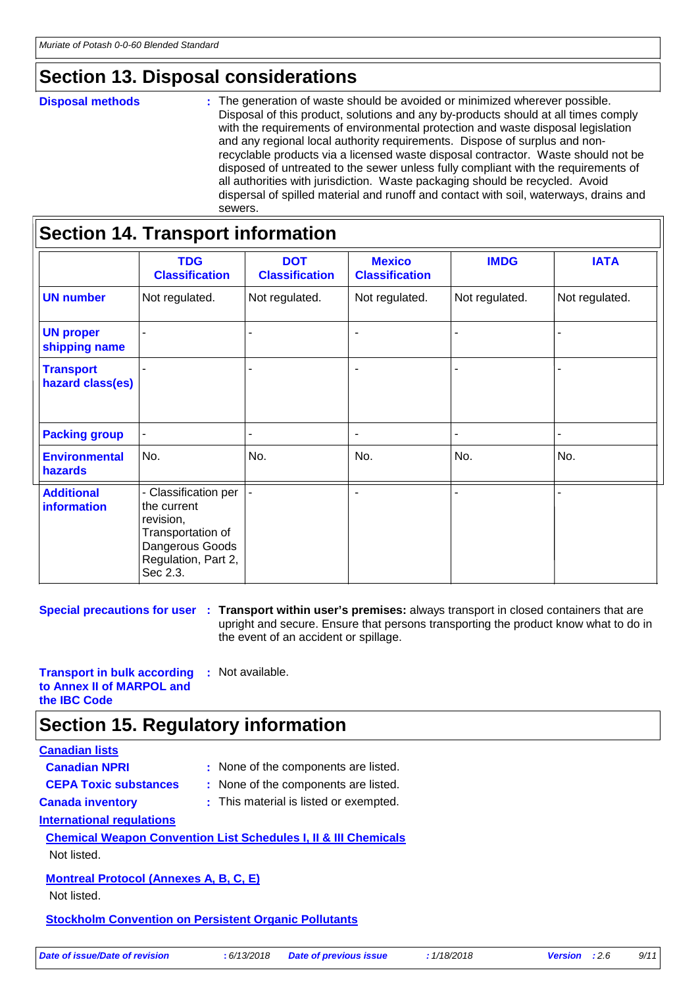### **Section 13. Disposal considerations**

#### **Disposal methods :**

The generation of waste should be avoided or minimized wherever possible. Disposal of this product, solutions and any by-products should at all times comply with the requirements of environmental protection and waste disposal legislation and any regional local authority requirements. Dispose of surplus and nonrecyclable products via a licensed waste disposal contractor. Waste should not be disposed of untreated to the sewer unless fully compliant with the requirements of all authorities with jurisdiction. Waste packaging should be recycled. Avoid dispersal of spilled material and runoff and contact with soil, waterways, drains and sewers.

|                                         | <b>TDG</b><br><b>Classification</b>                                                                                         | <b>DOT</b><br><b>Classification</b> | <b>Mexico</b><br><b>Classification</b> | <b>IMDG</b>    | <b>IATA</b>    |
|-----------------------------------------|-----------------------------------------------------------------------------------------------------------------------------|-------------------------------------|----------------------------------------|----------------|----------------|
| <b>UN number</b>                        | Not regulated.                                                                                                              | Not regulated.                      | Not regulated.                         | Not regulated. | Not regulated. |
| <b>UN proper</b><br>shipping name       |                                                                                                                             |                                     | ٠                                      |                |                |
| <b>Transport</b><br>hazard class(es)    |                                                                                                                             |                                     | $\blacksquare$                         |                |                |
| <b>Packing group</b>                    |                                                                                                                             |                                     | $\blacksquare$                         |                |                |
| <b>Environmental</b><br>hazards         | No.                                                                                                                         | No.                                 | No.                                    | No.            | No.            |
| <b>Additional</b><br><b>information</b> | - Classification per<br>the current<br>revision,<br>Transportation of<br>Dangerous Goods<br>Regulation, Part 2,<br>Sec 2.3. |                                     |                                        |                |                |

**Special precautions for user** : Transport within user's premises: always transport in closed containers that are upright and secure. Ensure that persons transporting the product know what to do in the event of an accident or spillage.

**Transport in bulk according to Annex II of MARPOL and the IBC Code :** Not available.

### **Section 15. Regulatory information**

### **Canadian lists**

| <b>Canadian NPRI</b>                                         | : None of the components are listed.                                       |
|--------------------------------------------------------------|----------------------------------------------------------------------------|
| <b>CEPA Toxic substances</b>                                 | : None of the components are listed.                                       |
| <b>Canada inventory</b>                                      | : This material is listed or exempted.                                     |
| International regulations                                    |                                                                            |
|                                                              | <b>Chemical Weapon Convention List Schedules I, II &amp; III Chemicals</b> |
| Not listed.                                                  |                                                                            |
| <b>Montreal Protocol (Annexes A, B, C, E)</b><br>Not listed. |                                                                            |
| <b>Stockholm Convention on Persistent Organic Pollutants</b> |                                                                            |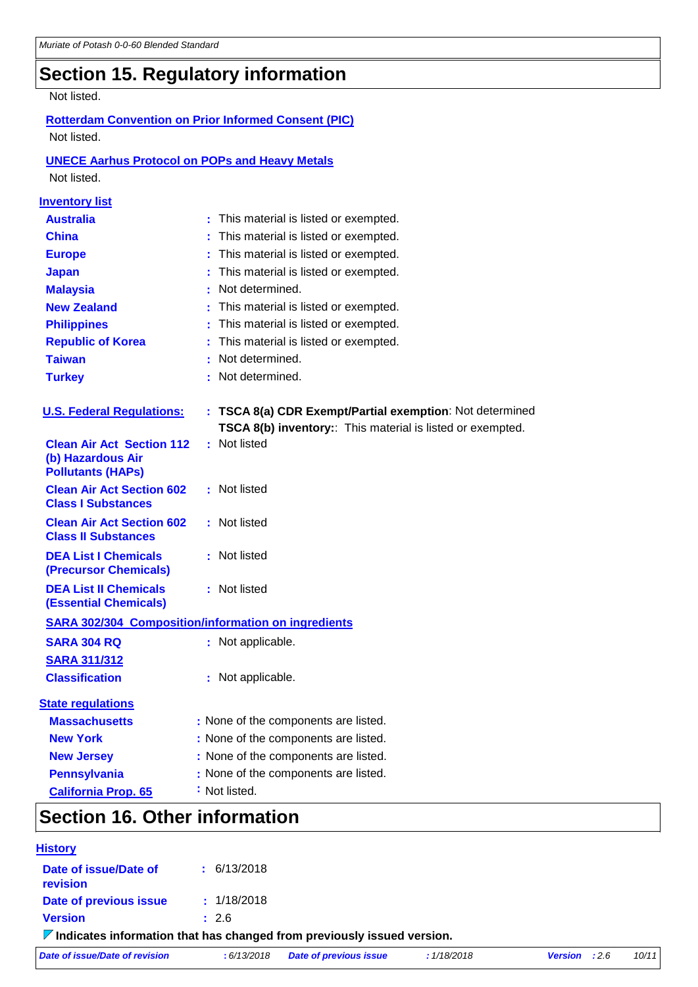# **Section 15. Regulatory information**

#### Not listed.

### **Rotterdam Convention on Prior Informed Consent (PIC)** Not listed.

### **UNECE Aarhus Protocol on POPs and Heavy Metals**

Not listed.

| <b>Inventory list</b>                                                             |                                                            |
|-----------------------------------------------------------------------------------|------------------------------------------------------------|
| <b>Australia</b>                                                                  | : This material is listed or exempted.                     |
| <b>China</b>                                                                      | This material is listed or exempted.                       |
| <b>Europe</b>                                                                     | This material is listed or exempted.                       |
| <b>Japan</b>                                                                      | This material is listed or exempted.                       |
| <b>Malaysia</b>                                                                   | Not determined.                                            |
| <b>New Zealand</b>                                                                | This material is listed or exempted.                       |
| <b>Philippines</b>                                                                | This material is listed or exempted.                       |
| <b>Republic of Korea</b>                                                          | This material is listed or exempted.                       |
| <b>Taiwan</b>                                                                     | Not determined.                                            |
| <b>Turkey</b>                                                                     | : Not determined.                                          |
| <b>U.S. Federal Regulations:</b>                                                  | : TSCA 8(a) CDR Exempt/Partial exemption: Not determined   |
|                                                                                   | TSCA 8(b) inventory:: This material is listed or exempted. |
| <b>Clean Air Act Section 112</b><br>(b) Hazardous Air<br><b>Pollutants (HAPs)</b> | : Not listed                                               |
| <b>Clean Air Act Section 602</b><br><b>Class I Substances</b>                     | : Not listed                                               |
| <b>Clean Air Act Section 602</b><br><b>Class II Substances</b>                    | : Not listed                                               |
| <b>DEA List I Chemicals</b><br><b>(Precursor Chemicals)</b>                       | : Not listed                                               |
| <b>DEA List II Chemicals</b><br><b>(Essential Chemicals)</b>                      | : Not listed                                               |
|                                                                                   | <b>SARA 302/304 Composition/information on ingredients</b> |
| <b>SARA 304 RQ</b>                                                                | : Not applicable.                                          |
| <b>SARA 311/312</b>                                                               |                                                            |
| <b>Classification</b>                                                             | : Not applicable.                                          |
| <b>State regulations</b>                                                          |                                                            |
| <b>Massachusetts</b>                                                              | : None of the components are listed.                       |
| <b>New York</b>                                                                   | : None of the components are listed.                       |
| <b>New Jersey</b>                                                                 | : None of the components are listed.                       |
| <b>Pennsylvania</b>                                                               | : None of the components are listed.                       |
| <b>California Prop. 65</b>                                                        | : Not listed.                                              |
| Contian 16 Other information                                                      |                                                            |

### **Section 16. Other information**

| <b>History</b>                                                                         |                 |                               |             |                        |       |
|----------------------------------------------------------------------------------------|-----------------|-------------------------------|-------------|------------------------|-------|
| Date of issue/Date of<br>revision                                                      | $\pm$ 6/13/2018 |                               |             |                        |       |
| Date of previous issue                                                                 | : 1/18/2018     |                               |             |                        |       |
| <b>Version</b>                                                                         | : 2.6           |                               |             |                        |       |
| $\triangledown$ Indicates information that has changed from previously issued version. |                 |                               |             |                        |       |
| Date of issue/Date of revision                                                         | : 6/13/2018     | <b>Date of previous issue</b> | : 1/18/2018 | <b>Version</b> : $2.6$ | 10/11 |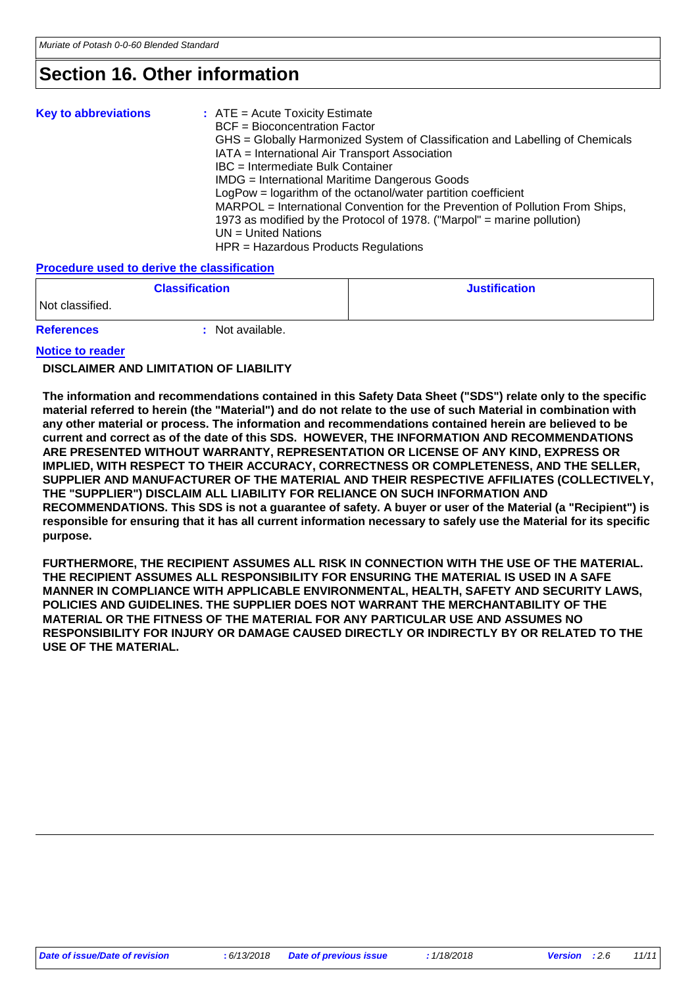### **Section 16. Other information**

| <b>Key to abbreviations</b> | $:$ ATE = Acute Toxicity Estimate<br><b>BCF</b> = Bioconcentration Factor<br>GHS = Globally Harmonized System of Classification and Labelling of Chemicals<br>IATA = International Air Transport Association<br>IBC = Intermediate Bulk Container<br>IMDG = International Maritime Dangerous Goods<br>LogPow = logarithm of the octanol/water partition coefficient<br>MARPOL = International Convention for the Prevention of Pollution From Ships,<br>1973 as modified by the Protocol of 1978. ("Marpol" = marine pollution)<br>$UN = United Nations$ |
|-----------------------------|----------------------------------------------------------------------------------------------------------------------------------------------------------------------------------------------------------------------------------------------------------------------------------------------------------------------------------------------------------------------------------------------------------------------------------------------------------------------------------------------------------------------------------------------------------|
|                             | HPR = Hazardous Products Regulations                                                                                                                                                                                                                                                                                                                                                                                                                                                                                                                     |

#### **Procedure used to derive the classification**

| <b>Classification</b> |                | <b>Justification</b> |
|-----------------------|----------------|----------------------|
| Not classified.       |                |                      |
| <b>References</b>     | Not available. |                      |

#### **Notice to reader**

#### **DISCLAIMER AND LIMITATION OF LIABILITY**

**The information and recommendations contained in this Safety Data Sheet ("SDS") relate only to the specific material referred to herein (the "Material") and do not relate to the use of such Material in combination with any other material or process. The information and recommendations contained herein are believed to be current and correct as of the date of this SDS. HOWEVER, THE INFORMATION AND RECOMMENDATIONS ARE PRESENTED WITHOUT WARRANTY, REPRESENTATION OR LICENSE OF ANY KIND, EXPRESS OR IMPLIED, WITH RESPECT TO THEIR ACCURACY, CORRECTNESS OR COMPLETENESS, AND THE SELLER, SUPPLIER AND MANUFACTURER OF THE MATERIAL AND THEIR RESPECTIVE AFFILIATES (COLLECTIVELY, THE "SUPPLIER") DISCLAIM ALL LIABILITY FOR RELIANCE ON SUCH INFORMATION AND RECOMMENDATIONS. This SDS is not a guarantee of safety. A buyer or user of the Material (a "Recipient") is responsible for ensuring that it has all current information necessary to safely use the Material for its specific purpose.**

**FURTHERMORE, THE RECIPIENT ASSUMES ALL RISK IN CONNECTION WITH THE USE OF THE MATERIAL. THE RECIPIENT ASSUMES ALL RESPONSIBILITY FOR ENSURING THE MATERIAL IS USED IN A SAFE MANNER IN COMPLIANCE WITH APPLICABLE ENVIRONMENTAL, HEALTH, SAFETY AND SECURITY LAWS, POLICIES AND GUIDELINES. THE SUPPLIER DOES NOT WARRANT THE MERCHANTABILITY OF THE MATERIAL OR THE FITNESS OF THE MATERIAL FOR ANY PARTICULAR USE AND ASSUMES NO RESPONSIBILITY FOR INJURY OR DAMAGE CAUSED DIRECTLY OR INDIRECTLY BY OR RELATED TO THE USE OF THE MATERIAL.**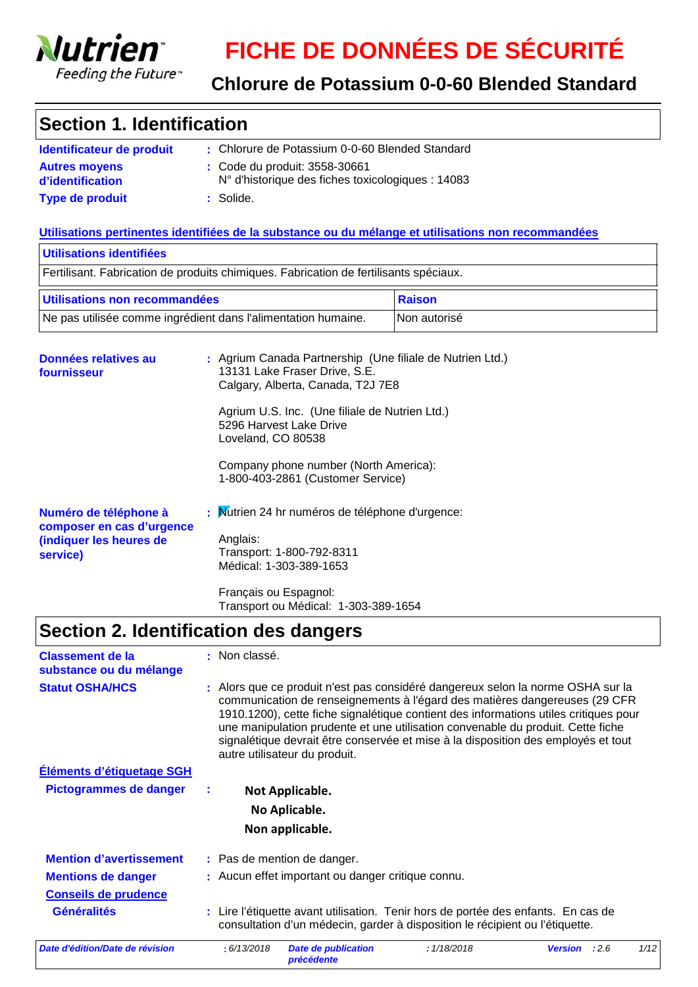

**service)**

### **Chlorure de Potassium 0-0-60 Blended Standard**

### **Section 1. Identification**

| Identificateur de produit                | : Chlorure de Potassium 0-0-60 Blended Standard                                             |
|------------------------------------------|---------------------------------------------------------------------------------------------|
| <b>Autres moyens</b><br>d'identification | : Code du produit: 3558-30661<br>$N^{\circ}$ d'historique des fiches toxicologiques : 14083 |
| <b>Type de produit</b>                   | : Solide.                                                                                   |

### **Utilisations pertinentes identifiées de la substance ou du mélange et utilisations non recommandées**

| Utilisations identifiées                                                      |                                                                                                                                                                                                                                                                                                                  |               |  |
|-------------------------------------------------------------------------------|------------------------------------------------------------------------------------------------------------------------------------------------------------------------------------------------------------------------------------------------------------------------------------------------------------------|---------------|--|
|                                                                               | Fertilisant. Fabrication de produits chimiques. Fabrication de fertilisants spéciaux.                                                                                                                                                                                                                            |               |  |
| Utilisations non recommandées                                                 |                                                                                                                                                                                                                                                                                                                  | <b>Raison</b> |  |
| Ne pas utilisée comme ingrédient dans l'alimentation humaine.                 |                                                                                                                                                                                                                                                                                                                  | Non autorisé  |  |
| Données relatives au<br>fournisseur                                           | : Agrium Canada Partnership (Une filiale de Nutrien Ltd.)<br>13131 Lake Fraser Drive, S.E.<br>Calgary, Alberta, Canada, T2J 7E8<br>Agrium U.S. Inc. (Une filiale de Nutrien Ltd.)<br>5296 Harvest Lake Drive<br>Loveland, CO 80538<br>Company phone number (North America):<br>1-800-403-2861 (Customer Service) |               |  |
| Numéro de téléphone à<br>composer en cas d'urgence<br>(indiquer les heures de | : Mutrien 24 hr numéros de téléphone d'urgence:<br>Anglais:                                                                                                                                                                                                                                                      |               |  |

Transport: 1-800-792-8311 Médical: 1-303-389-1653 Français ou Espagnol: Transport ou Médical: 1-303-389-1654

## **Section 2. Identification des dangers**

| <b>Classement de la</b><br>substance ou du mélange | : Non classé.                                                                                                                                                                                                                                                                                                                                                                                                                                                  |                                                   |             |                        |      |
|----------------------------------------------------|----------------------------------------------------------------------------------------------------------------------------------------------------------------------------------------------------------------------------------------------------------------------------------------------------------------------------------------------------------------------------------------------------------------------------------------------------------------|---------------------------------------------------|-------------|------------------------|------|
| <b>Statut OSHA/HCS</b>                             | : Alors que ce produit n'est pas considéré dangereux selon la norme OSHA sur la<br>communication de renseignements à l'égard des matières dangereuses (29 CFR<br>1910.1200), cette fiche signalétique contient des informations utiles critiques pour<br>une manipulation prudente et une utilisation convenable du produit. Cette fiche<br>signalétique devrait être conservée et mise à la disposition des employés et tout<br>autre utilisateur du produit. |                                                   |             |                        |      |
| Éléments d'étiquetage SGH                          |                                                                                                                                                                                                                                                                                                                                                                                                                                                                |                                                   |             |                        |      |
| <b>Pictogrammes de danger</b>                      |                                                                                                                                                                                                                                                                                                                                                                                                                                                                | Not Applicable.                                   |             |                        |      |
|                                                    |                                                                                                                                                                                                                                                                                                                                                                                                                                                                | No Aplicable.                                     |             |                        |      |
|                                                    |                                                                                                                                                                                                                                                                                                                                                                                                                                                                | Non applicable.                                   |             |                        |      |
| <b>Mention d'avertissement</b>                     |                                                                                                                                                                                                                                                                                                                                                                                                                                                                | : Pas de mention de danger.                       |             |                        |      |
| <b>Mentions de danger</b>                          |                                                                                                                                                                                                                                                                                                                                                                                                                                                                | : Aucun effet important ou danger critique connu. |             |                        |      |
| <b>Conseils de prudence</b>                        |                                                                                                                                                                                                                                                                                                                                                                                                                                                                |                                                   |             |                        |      |
| <b>Généralités</b>                                 | : Lire l'étiquette avant utilisation. Tenir hors de portée des enfants. En cas de<br>consultation d'un médecin, garder à disposition le récipient ou l'étiquette.                                                                                                                                                                                                                                                                                              |                                                   |             |                        |      |
| Date d'édition/Date de révision                    | : 6/13/2018                                                                                                                                                                                                                                                                                                                                                                                                                                                    | <b>Date de publication</b><br><b>précédente</b>   | : 1/18/2018 | :2.6<br><b>Version</b> | 1/12 |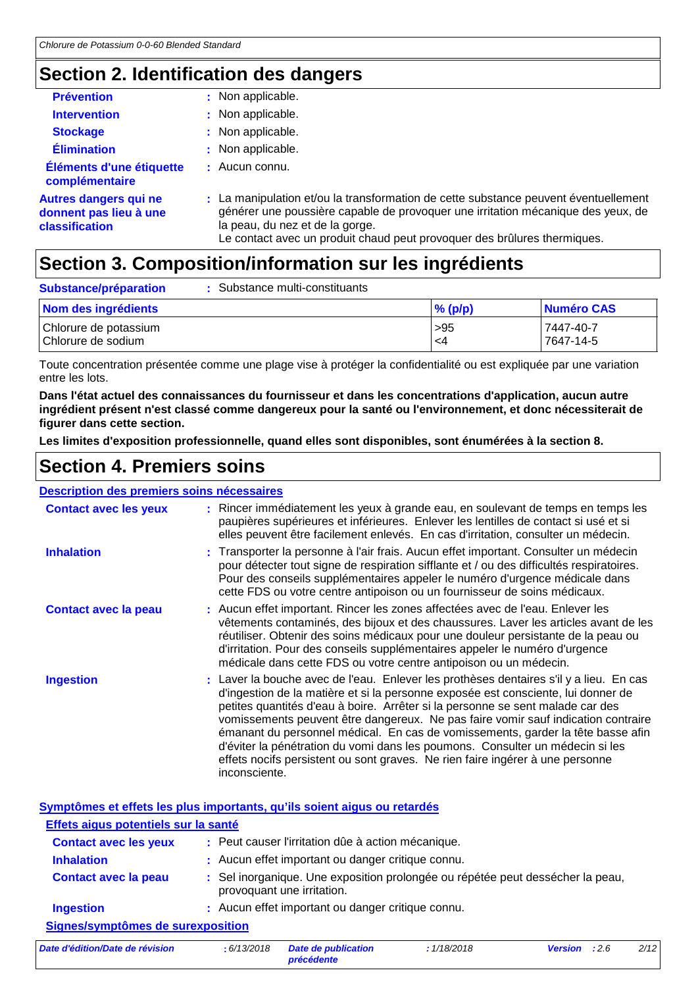### **Section 2. Identification des dangers**

| <b>Prévention</b>                                                        | : Non applicable.                                                                                                                                                                                                                                                                      |
|--------------------------------------------------------------------------|----------------------------------------------------------------------------------------------------------------------------------------------------------------------------------------------------------------------------------------------------------------------------------------|
| <b>Intervention</b>                                                      | : Non applicable.                                                                                                                                                                                                                                                                      |
| <b>Stockage</b>                                                          | : Non applicable.                                                                                                                                                                                                                                                                      |
| <b>Élimination</b>                                                       | : Non applicable.                                                                                                                                                                                                                                                                      |
| Éléments d'une étiquette<br>complémentaire                               | $\pm$ Aucun connu.                                                                                                                                                                                                                                                                     |
| <b>Autres dangers qui ne</b><br>donnent pas lieu à une<br>classification | : La manipulation et/ou la transformation de cette substance peuvent éventuellement<br>générer une poussière capable de provoquer une irritation mécanique des yeux, de<br>la peau, du nez et de la gorge.<br>Le contact avec un produit chaud peut provoquer des brûlures thermiques. |

### **Section 3. Composition/information sur les ingrédients**

| Substance/préparation                       | Substance multi-constituants |            |                        |
|---------------------------------------------|------------------------------|------------|------------------------|
| Nom des ingrédients                         |                              | $\%$ (p/p) | Numéro CAS             |
| Chlorure de potassium<br>Chlorure de sodium |                              | >95<br>-4  | 7447-40-7<br>7647-14-5 |

Toute concentration présentée comme une plage vise à protéger la confidentialité ou est expliquée par une variation entre les lots.

**Dans l'état actuel des connaissances du fournisseur et dans les concentrations d'application, aucun autre ingrédient présent n'est classé comme dangereux pour la santé ou l'environnement, et donc nécessiterait de figurer dans cette section.**

**Les limites d'exposition professionnelle, quand elles sont disponibles, sont énumérées à la section 8.**

### **Section 4. Premiers soins**

#### **Description des premiers soins nécessaires**

| <b>Contact avec les yeux</b> | : Rincer immédiatement les yeux à grande eau, en soulevant de temps en temps les<br>paupières supérieures et inférieures. Enlever les lentilles de contact si usé et si<br>elles peuvent être facilement enlevés. En cas d'irritation, consulter un médecin.                                                                                                                                                                                                                                                                                                                                                             |
|------------------------------|--------------------------------------------------------------------------------------------------------------------------------------------------------------------------------------------------------------------------------------------------------------------------------------------------------------------------------------------------------------------------------------------------------------------------------------------------------------------------------------------------------------------------------------------------------------------------------------------------------------------------|
| <b>Inhalation</b>            | : Transporter la personne à l'air frais. Aucun effet important. Consulter un médecin<br>pour détecter tout signe de respiration sifflante et / ou des difficultés respiratoires.<br>Pour des conseils supplémentaires appeler le numéro d'urgence médicale dans<br>cette FDS ou votre centre antipoison ou un fournisseur de soins médicaux.                                                                                                                                                                                                                                                                             |
| <b>Contact avec la peau</b>  | : Aucun effet important. Rincer les zones affectées avec de l'eau. Enlever les<br>vêtements contaminés, des bijoux et des chaussures. Laver les articles avant de les<br>réutiliser. Obtenir des soins médicaux pour une douleur persistante de la peau ou<br>d'irritation. Pour des conseils supplémentaires appeler le numéro d'urgence<br>médicale dans cette FDS ou votre centre antipoison ou un médecin.                                                                                                                                                                                                           |
| <b>Ingestion</b>             | : Laver la bouche avec de l'eau. Enlever les prothèses dentaires s'il y a lieu. En cas<br>d'ingestion de la matière et si la personne exposée est consciente, lui donner de<br>petites quantités d'eau à boire. Arrêter si la personne se sent malade car des<br>vomissements peuvent être dangereux. Ne pas faire vomir sauf indication contraire<br>émanant du personnel médical. En cas de vomissements, garder la tête basse afin<br>d'éviter la pénétration du vomi dans les poumons. Consulter un médecin si les<br>effets nocifs persistent ou sont graves. Ne rien faire ingérer à une personne<br>inconsciente. |

**Symptômes et effets les plus importants, qu'ils soient aigus ou retardés**

| Effets aigus potentiels sur la santé                                                                                                                                                                                           |                                                                                                                                                          |
|--------------------------------------------------------------------------------------------------------------------------------------------------------------------------------------------------------------------------------|----------------------------------------------------------------------------------------------------------------------------------------------------------|
| <b>Contact avec les yeux</b>                                                                                                                                                                                                   | : Peut causer l'irritation dûe à action mécanique.                                                                                                       |
| <b>Inhalation</b>                                                                                                                                                                                                              | : Aucun effet important ou danger critique connu.                                                                                                        |
| <b>Contact avec la peau</b>                                                                                                                                                                                                    | : Sel inorganique. Une exposition prolongée ou répétée peut dessécher la peau,<br>provoquant une irritation.                                             |
| <b>Ingestion</b>                                                                                                                                                                                                               | : Aucun effet important ou danger critique connu.                                                                                                        |
| Signes/symptômes de surexposition                                                                                                                                                                                              |                                                                                                                                                          |
| the contract of the first contract of the contract of the contract of the contract of the contract of the contract of the contract of the contract of the contract of the contract of the contract of the contract of the cont | 11000010<br>0.400010<br>and the state of the state of the state of the state of the state of the state of the state of the state of the<br>$\mathbf{11}$ |

*Date d'édition/Date de révision* **:** *6/13/2018 Date de publication précédente : 1/18/2018 Version : 2.6 2/12*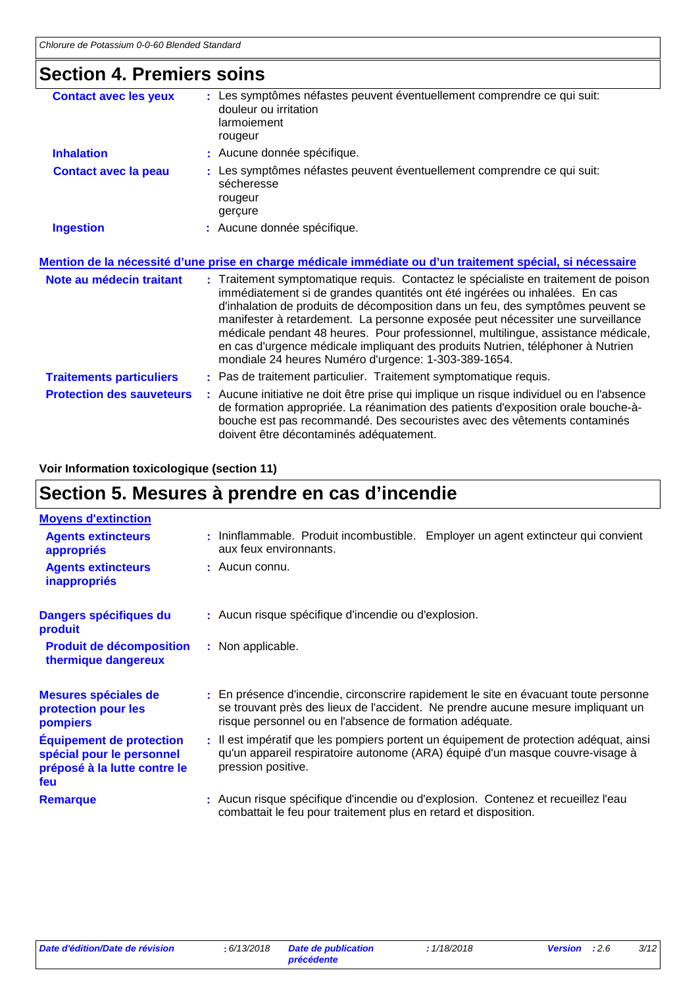### **Section 4. Premiers soins**

| <b>Contact avec les yeux</b>     | Les symptômes néfastes peuvent éventuellement comprendre ce qui suit:<br>douleur ou irritation<br>larmoiement<br>rougeur                                                                                                                                                                                                                                                                                                                                                                                                                                               |
|----------------------------------|------------------------------------------------------------------------------------------------------------------------------------------------------------------------------------------------------------------------------------------------------------------------------------------------------------------------------------------------------------------------------------------------------------------------------------------------------------------------------------------------------------------------------------------------------------------------|
| <b>Inhalation</b>                | : Aucune donnée spécifique.                                                                                                                                                                                                                                                                                                                                                                                                                                                                                                                                            |
| <b>Contact avec la peau</b>      | : Les symptômes néfastes peuvent éventuellement comprendre ce qui suit:<br>sécheresse<br>rougeur<br>gerçure                                                                                                                                                                                                                                                                                                                                                                                                                                                            |
| <b>Ingestion</b>                 | : Aucune donnée spécifique.                                                                                                                                                                                                                                                                                                                                                                                                                                                                                                                                            |
|                                  | <u>Mention de la nécessité d'une prise en charge médicale immédiate ou d'un traitement spécial, si nécessaire</u>                                                                                                                                                                                                                                                                                                                                                                                                                                                      |
| Note au médecin traitant         | : Traitement symptomatique requis. Contactez le spécialiste en traitement de poison<br>immédiatement si de grandes quantités ont été ingérées ou inhalées. En cas<br>d'inhalation de produits de décomposition dans un feu, des symptômes peuvent se<br>manifester à retardement. La personne exposée peut nécessiter une surveillance<br>médicale pendant 48 heures. Pour professionnel, multilingue, assistance médicale,<br>en cas d'urgence médicale impliquant des produits Nutrien, téléphoner à Nutrien<br>mondiale 24 heures Numéro d'urgence: 1-303-389-1654. |
| <b>Traitements particuliers</b>  | : Pas de traitement particulier. Traitement symptomatique requis.                                                                                                                                                                                                                                                                                                                                                                                                                                                                                                      |
| <b>Protection des sauveteurs</b> | : Aucune initiative ne doit être prise qui implique un risque individuel ou en l'absence<br>de formation appropriée. La réanimation des patients d'exposition orale bouche-à-<br>bouche est pas recommandé. Des secouristes avec des vêtements contaminés                                                                                                                                                                                                                                                                                                              |

doivent être décontaminés adéquatement.

### **Voir Information toxicologique (section 11)**

# **Section 5. Mesures à prendre en cas d'incendie**

| <b>Moyens d'extinction</b>                                                                          |                                                                                                                                                                                                                                     |  |
|-----------------------------------------------------------------------------------------------------|-------------------------------------------------------------------------------------------------------------------------------------------------------------------------------------------------------------------------------------|--|
| <b>Agents extincteurs</b><br>appropriés                                                             | : Ininflammable. Produit incombustible. Employer un agent extincteur qui convient<br>aux feux environnants.                                                                                                                         |  |
| <b>Agents extincteurs</b><br><b>inappropriés</b>                                                    | : Aucun connu.                                                                                                                                                                                                                      |  |
| Dangers spécifiques du<br>produit                                                                   | : Aucun risque spécifique d'incendie ou d'explosion.                                                                                                                                                                                |  |
| <b>Produit de décomposition</b><br>thermique dangereux                                              | : Non applicable.                                                                                                                                                                                                                   |  |
| Mesures spéciales de<br>protection pour les<br>pompiers                                             | : En présence d'incendie, circonscrire rapidement le site en évacuant toute personne<br>se trouvant près des lieux de l'accident. Ne prendre aucune mesure impliquant un<br>risque personnel ou en l'absence de formation adéquate. |  |
| <b>Équipement de protection</b><br>spécial pour le personnel<br>préposé à la lutte contre le<br>feu | : Il est impératif que les pompiers portent un équipement de protection adéquat, ainsi<br>qu'un appareil respiratoire autonome (ARA) équipé d'un masque couvre-visage à<br>pression positive.                                       |  |
| <b>Remarque</b>                                                                                     | : Aucun risque spécifique d'incendie ou d'explosion. Contenez et recueillez l'eau<br>combattait le feu pour traitement plus en retard et disposition.                                                                               |  |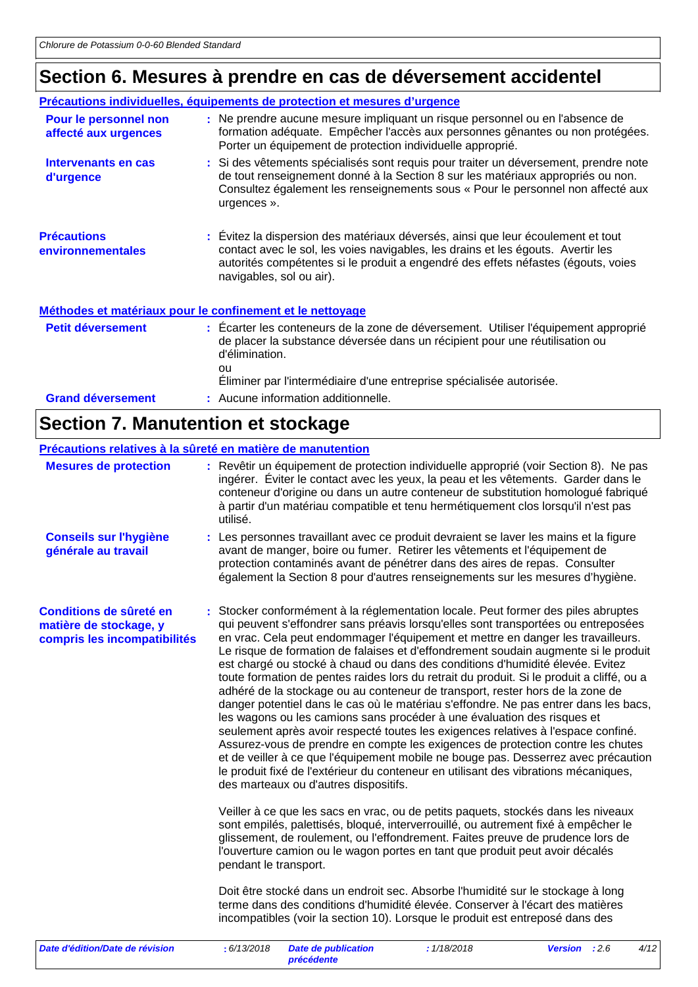# **Section 6. Mesures à prendre en cas de déversement accidentel**

|                                               | Précautions individuelles, équipements de protection et mesures d'urgence                                                                                                                                                                                                             |
|-----------------------------------------------|---------------------------------------------------------------------------------------------------------------------------------------------------------------------------------------------------------------------------------------------------------------------------------------|
| Pour le personnel non<br>affecté aux urgences | : Ne prendre aucune mesure impliquant un risque personnel ou en l'absence de<br>formation adéquate. Empêcher l'accès aux personnes gênantes ou non protégées.<br>Porter un équipement de protection individuelle approprié.                                                           |
| Intervenants en cas<br>d'urgence              | : Si des vêtements spécialisés sont requis pour traiter un déversement, prendre note<br>de tout renseignement donné à la Section 8 sur les matériaux appropriés ou non.<br>Consultez également les renseignements sous « Pour le personnel non affecté aux<br>urgences ».             |
| <b>Précautions</b><br>environnementales       | : Évitez la dispersion des matériaux déversés, ainsi que leur écoulement et tout<br>contact avec le sol, les voies navigables, les drains et les égouts. Avertir les<br>autorités compétentes si le produit a engendré des effets néfastes (égouts, voies<br>navigables, sol ou air). |
|                                               | Méthodes et matériaux pour le confinement et le nettoyage                                                                                                                                                                                                                             |
| <b>Petit déversement</b>                      | : Ecarter les conteneurs de la zone de déversement. Utiliser l'équipement approprié<br>de placer la substance déversée dans un récipient pour une réutilisation ou<br>d'élimination.<br>ou<br>Eliminer par l'intermédiaire d'une entreprise spécialisée autorisée.                    |
| <b>Grand déversement</b>                      | : Aucune information additionnelle.                                                                                                                                                                                                                                                   |

# **Section 7. Manutention et stockage**

| Précautions relatives à la sûreté en matière de manutention                       |                                                                                                                                                                                                                                                                                                                                                                                                                                                                                                                                                                                                                                                                                                                                                                                                                                                                                                                                                                                                                                                                                                                                                                                                                                                                                                                                                                                                                                                                                                                                                                                                                                                                                                                                                                                                                                                                                                 |                                                                                                                                                                                                                                                                                                                                                                   |             |                |      |      |
|-----------------------------------------------------------------------------------|-------------------------------------------------------------------------------------------------------------------------------------------------------------------------------------------------------------------------------------------------------------------------------------------------------------------------------------------------------------------------------------------------------------------------------------------------------------------------------------------------------------------------------------------------------------------------------------------------------------------------------------------------------------------------------------------------------------------------------------------------------------------------------------------------------------------------------------------------------------------------------------------------------------------------------------------------------------------------------------------------------------------------------------------------------------------------------------------------------------------------------------------------------------------------------------------------------------------------------------------------------------------------------------------------------------------------------------------------------------------------------------------------------------------------------------------------------------------------------------------------------------------------------------------------------------------------------------------------------------------------------------------------------------------------------------------------------------------------------------------------------------------------------------------------------------------------------------------------------------------------------------------------|-------------------------------------------------------------------------------------------------------------------------------------------------------------------------------------------------------------------------------------------------------------------------------------------------------------------------------------------------------------------|-------------|----------------|------|------|
| <b>Mesures de protection</b>                                                      |                                                                                                                                                                                                                                                                                                                                                                                                                                                                                                                                                                                                                                                                                                                                                                                                                                                                                                                                                                                                                                                                                                                                                                                                                                                                                                                                                                                                                                                                                                                                                                                                                                                                                                                                                                                                                                                                                                 | : Revêtir un équipement de protection individuelle approprié (voir Section 8). Ne pas<br>ingérer. Éviter le contact avec les yeux, la peau et les vêtements. Garder dans le<br>conteneur d'origine ou dans un autre conteneur de substitution homologué fabriqué<br>à partir d'un matériau compatible et tenu hermétiquement clos lorsqu'il n'est pas<br>utilisé. |             |                |      |      |
| <b>Conseils sur l'hygiène</b><br>générale au travail                              |                                                                                                                                                                                                                                                                                                                                                                                                                                                                                                                                                                                                                                                                                                                                                                                                                                                                                                                                                                                                                                                                                                                                                                                                                                                                                                                                                                                                                                                                                                                                                                                                                                                                                                                                                                                                                                                                                                 | : Les personnes travaillant avec ce produit devraient se laver les mains et la figure<br>avant de manger, boire ou fumer. Retirer les vêtements et l'équipement de<br>protection contaminés avant de pénétrer dans des aires de repas. Consulter                                                                                                                  |             |                |      |      |
| Conditions de sûreté en<br>matière de stockage, y<br>compris les incompatibilités | également la Section 8 pour d'autres renseignements sur les mesures d'hygiène.<br>: Stocker conformément à la réglementation locale. Peut former des piles abruptes<br>qui peuvent s'effondrer sans préavis lorsqu'elles sont transportées ou entreposées<br>en vrac. Cela peut endommager l'équipement et mettre en danger les travailleurs.<br>Le risque de formation de falaises et d'effondrement soudain augmente si le produit<br>est chargé ou stocké à chaud ou dans des conditions d'humidité élevée. Evitez<br>toute formation de pentes raides lors du retrait du produit. Si le produit a cliffé, ou a<br>adhéré de la stockage ou au conteneur de transport, rester hors de la zone de<br>danger potentiel dans le cas où le matériau s'effondre. Ne pas entrer dans les bacs,<br>les wagons ou les camions sans procéder à une évaluation des risques et<br>seulement après avoir respecté toutes les exigences relatives à l'espace confiné.<br>Assurez-vous de prendre en compte les exigences de protection contre les chutes<br>et de veiller à ce que l'équipement mobile ne bouge pas. Desserrez avec précaution<br>le produit fixé de l'extérieur du conteneur en utilisant des vibrations mécaniques,<br>des marteaux ou d'autres dispositifs.<br>Veiller à ce que les sacs en vrac, ou de petits paquets, stockés dans les niveaux<br>sont empilés, palettisés, bloqué, interverrouillé, ou autrement fixé à empêcher le<br>glissement, de roulement, ou l'effondrement. Faites preuve de prudence lors de<br>l'ouverture camion ou le wagon portes en tant que produit peut avoir décalés<br>pendant le transport.<br>Doit être stocké dans un endroit sec. Absorbe l'humidité sur le stockage à long<br>terme dans des conditions d'humidité élevée. Conserver à l'écart des matières<br>incompatibles (voir la section 10). Lorsque le produit est entreposé dans des |                                                                                                                                                                                                                                                                                                                                                                   |             |                |      |      |
| Date d'édition/Date de révision                                                   |                                                                                                                                                                                                                                                                                                                                                                                                                                                                                                                                                                                                                                                                                                                                                                                                                                                                                                                                                                                                                                                                                                                                                                                                                                                                                                                                                                                                                                                                                                                                                                                                                                                                                                                                                                                                                                                                                                 | : 6/13/2018<br><b>Date de publication</b>                                                                                                                                                                                                                                                                                                                         | : 1/18/2018 | <b>Version</b> | :2.6 | 4/12 |

*précédente*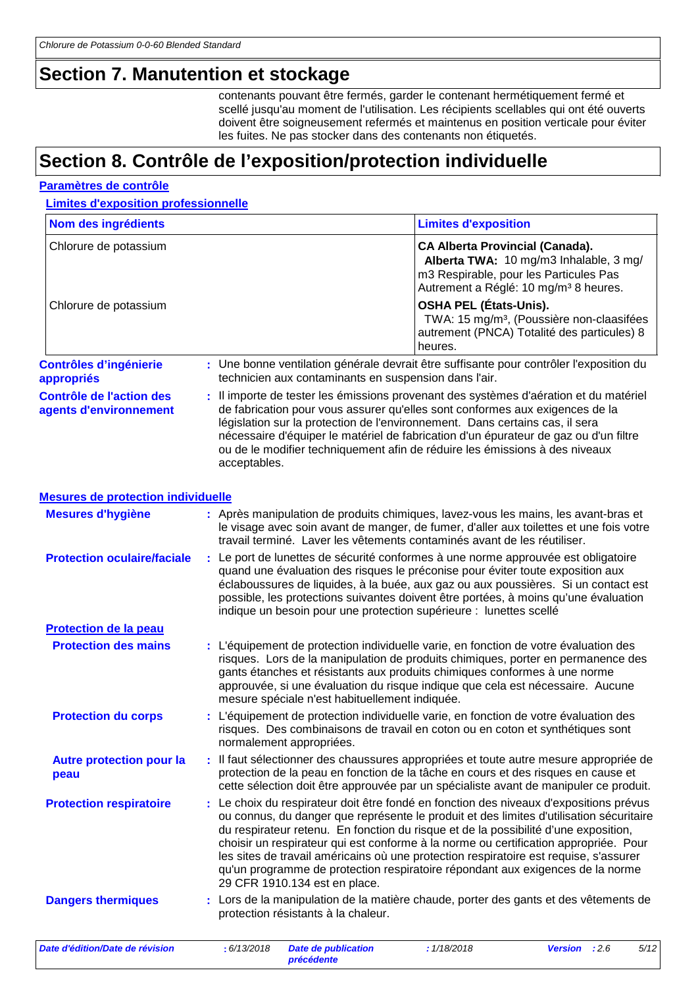### **Section 7. Manutention et stockage**

contenants pouvant être fermés, garder le contenant hermétiquement fermé et scellé jusqu'au moment de l'utilisation. Les récipients scellables qui ont été ouverts doivent être soigneusement refermés et maintenus en position verticale pour éviter les fuites. Ne pas stocker dans des contenants non étiquetés.

### **Section 8. Contrôle de l'exposition/protection individuelle**

#### **Paramètres de contrôle**

**Limites d'exposition professionnelle**

| Nom des ingrédients                                       |   |              |                                                       | <b>Limites d'exposition</b>                                                                                                                                                                                                                                                                                                                                                                                                                                                                                                               |                |      |      |
|-----------------------------------------------------------|---|--------------|-------------------------------------------------------|-------------------------------------------------------------------------------------------------------------------------------------------------------------------------------------------------------------------------------------------------------------------------------------------------------------------------------------------------------------------------------------------------------------------------------------------------------------------------------------------------------------------------------------------|----------------|------|------|
| Chlorure de potassium                                     |   |              |                                                       | <b>CA Alberta Provincial (Canada).</b><br>Alberta TWA: 10 mg/m3 Inhalable, 3 mg/<br>m3 Respirable, pour les Particules Pas<br>Autrement a Réglé: 10 mg/m <sup>3</sup> 8 heures.                                                                                                                                                                                                                                                                                                                                                           |                |      |      |
| Chlorure de potassium                                     |   |              |                                                       | <b>OSHA PEL (États-Unis).</b><br>TWA: 15 mg/m <sup>3</sup> , (Poussière non-claasifées<br>autrement (PNCA) Totalité des particules) 8<br>heures.                                                                                                                                                                                                                                                                                                                                                                                          |                |      |      |
| <b>Contrôles d'ingénierie</b><br>appropriés               |   |              | technicien aux contaminants en suspension dans l'air. | : Une bonne ventilation générale devrait être suffisante pour contrôler l'exposition du                                                                                                                                                                                                                                                                                                                                                                                                                                                   |                |      |      |
| <b>Contrôle de l'action des</b><br>agents d'environnement |   | acceptables. |                                                       | : Il importe de tester les émissions provenant des systèmes d'aération et du matériel<br>de fabrication pour vous assurer qu'elles sont conformes aux exigences de la<br>législation sur la protection de l'environnement. Dans certains cas, il sera<br>nécessaire d'équiper le matériel de fabrication d'un épurateur de gaz ou d'un filtre<br>ou de le modifier techniquement afin de réduire les émissions à des niveaux                                                                                                              |                |      |      |
| <b>Mesures de protection individuelle</b>                 |   |              |                                                       |                                                                                                                                                                                                                                                                                                                                                                                                                                                                                                                                           |                |      |      |
| <b>Mesures d'hygiène</b>                                  |   |              |                                                       | : Après manipulation de produits chimiques, lavez-vous les mains, les avant-bras et<br>le visage avec soin avant de manger, de fumer, d'aller aux toilettes et une fois votre<br>travail terminé. Laver les vêtements contaminés avant de les réutiliser.                                                                                                                                                                                                                                                                                 |                |      |      |
| <b>Protection oculaire/faciale</b>                        |   |              |                                                       | : Le port de lunettes de sécurité conformes à une norme approuvée est obligatoire<br>quand une évaluation des risques le préconise pour éviter toute exposition aux<br>éclaboussures de liquides, à la buée, aux gaz ou aux poussières. Si un contact est<br>possible, les protections suivantes doivent être portées, à moins qu'une évaluation<br>indique un besoin pour une protection supérieure : lunettes scellé                                                                                                                    |                |      |      |
| Protection de la peau                                     |   |              |                                                       |                                                                                                                                                                                                                                                                                                                                                                                                                                                                                                                                           |                |      |      |
| <b>Protection des mains</b>                               |   |              | mesure spéciale n'est habituellement indiquée.        | : L'équipement de protection individuelle varie, en fonction de votre évaluation des<br>risques. Lors de la manipulation de produits chimiques, porter en permanence des<br>gants étanches et résistants aux produits chimiques conformes à une norme<br>approuvée, si une évaluation du risque indique que cela est nécessaire. Aucune                                                                                                                                                                                                   |                |      |      |
| <b>Protection du corps</b>                                |   |              | normalement appropriées.                              | : L'équipement de protection individuelle varie, en fonction de votre évaluation des<br>risques. Des combinaisons de travail en coton ou en coton et synthétiques sont                                                                                                                                                                                                                                                                                                                                                                    |                |      |      |
| <b>Autre protection pour la</b><br>peau                   |   |              |                                                       | Il faut sélectionner des chaussures appropriées et toute autre mesure appropriée de<br>protection de la peau en fonction de la tâche en cours et des risques en cause et<br>cette sélection doit être approuvée par un spécialiste avant de manipuler ce produit.                                                                                                                                                                                                                                                                         |                |      |      |
| <b>Protection respiratoire</b>                            | ÷ |              | 29 CFR 1910.134 est en place.                         | Le choix du respirateur doit être fondé en fonction des niveaux d'expositions prévus<br>ou connus, du danger que représente le produit et des limites d'utilisation sécuritaire<br>du respirateur retenu. En fonction du risque et de la possibilité d'une exposition,<br>choisir un respirateur qui est conforme à la norme ou certification appropriée. Pour<br>les sites de travail américains où une protection respiratoire est requise, s'assurer<br>qu'un programme de protection respiratoire répondant aux exigences de la norme |                |      |      |
| <b>Dangers thermiques</b>                                 |   |              | protection résistants à la chaleur.                   | : Lors de la manipulation de la matière chaude, porter des gants et des vêtements de                                                                                                                                                                                                                                                                                                                                                                                                                                                      |                |      |      |
| Date d'édition/Date de révision                           |   | : 6/13/2018  | <b>Date de publication</b>                            | : 1/18/2018                                                                                                                                                                                                                                                                                                                                                                                                                                                                                                                               | <b>Version</b> | :2.6 | 5/12 |

*précédente*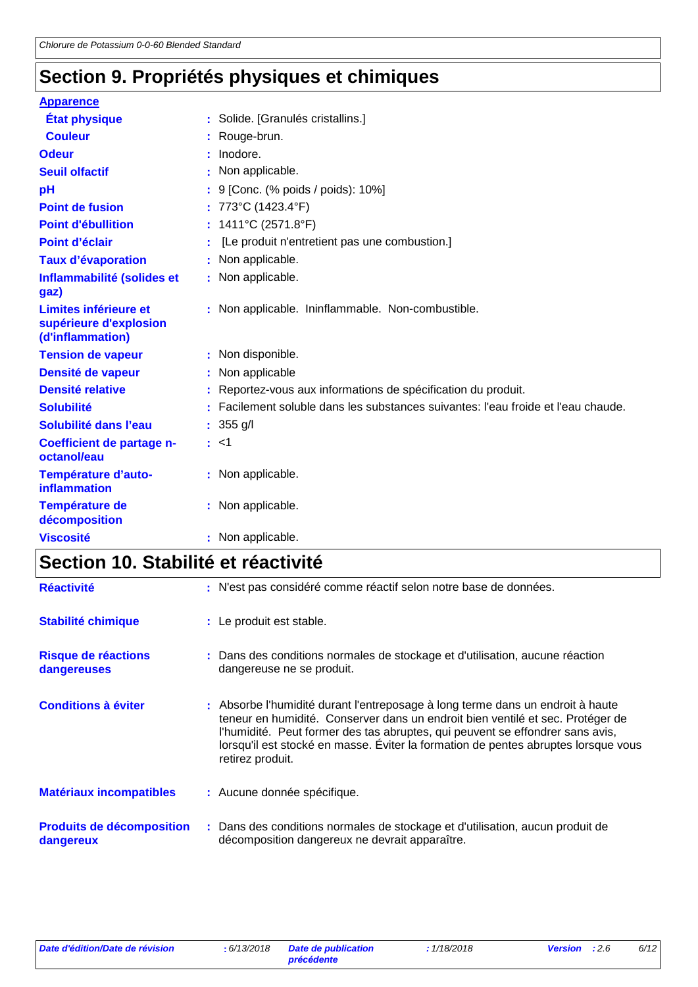# **Section 9. Propriétés physiques et chimiques**

| <b>Apparence</b>                                                    |                                                                                   |
|---------------------------------------------------------------------|-----------------------------------------------------------------------------------|
| <b>État physique</b>                                                | : Solide. [Granulés cristallins.]                                                 |
| <b>Couleur</b>                                                      | : Rouge-brun.                                                                     |
| <b>Odeur</b>                                                        | Inodore.                                                                          |
| <b>Seuil olfactif</b>                                               | : Non applicable.                                                                 |
| pH                                                                  | : 9 [Conc. (% poids / poids): 10%]                                                |
| <b>Point de fusion</b>                                              | : 773°C (1423.4°F)                                                                |
| <b>Point d'ébullition</b>                                           | : $1411^{\circ}$ C (2571.8°F)                                                     |
| Point d'éclair                                                      | [Le produit n'entretient pas une combustion.]                                     |
| <b>Taux d'évaporation</b>                                           | : Non applicable.                                                                 |
| Inflammabilité (solides et<br>gaz)                                  | : Non applicable.                                                                 |
| Limites inférieure et<br>supérieure d'explosion<br>(d'inflammation) | : Non applicable. Ininflammable. Non-combustible.                                 |
| <b>Tension de vapeur</b>                                            | : Non disponible.                                                                 |
| Densité de vapeur                                                   | : Non applicable                                                                  |
| <b>Densité relative</b>                                             | : Reportez-vous aux informations de spécification du produit.                     |
| <b>Solubilité</b>                                                   | : Facilement soluble dans les substances suivantes: l'eau froide et l'eau chaude. |
| Solubilité dans l'eau                                               | $: 355$ g/l                                                                       |
| Coefficient de partage n-<br>octanol/eau                            | : <1                                                                              |
| Température d'auto-<br><b>inflammation</b>                          | : Non applicable.                                                                 |
| Température de<br>décomposition                                     | : Non applicable.                                                                 |
| <b>Viscosité</b>                                                    | : Non applicable.                                                                 |

# **Section 10. Stabilité et réactivité**

| <b>Réactivité</b>                             | : N'est pas considéré comme réactif selon notre base de données.                                                                                                                                                                                                                                                                                            |
|-----------------------------------------------|-------------------------------------------------------------------------------------------------------------------------------------------------------------------------------------------------------------------------------------------------------------------------------------------------------------------------------------------------------------|
| <b>Stabilité chimique</b>                     | : Le produit est stable.                                                                                                                                                                                                                                                                                                                                    |
| Risque de réactions<br>dangereuses            | : Dans des conditions normales de stockage et d'utilisation, aucune réaction<br>dangereuse ne se produit.                                                                                                                                                                                                                                                   |
| <b>Conditions à éviter</b>                    | : Absorbe l'humidité durant l'entreposage à long terme dans un endroit à haute<br>teneur en humidité. Conserver dans un endroit bien ventilé et sec. Protéger de<br>l'humidité. Peut former des tas abruptes, qui peuvent se effondrer sans avis,<br>lorsqu'il est stocké en masse. Éviter la formation de pentes abruptes lorsque vous<br>retirez produit. |
| <b>Matériaux incompatibles</b>                | : Aucune donnée spécifique.                                                                                                                                                                                                                                                                                                                                 |
| <b>Produits de décomposition</b><br>dangereux | : Dans des conditions normales de stockage et d'utilisation, aucun produit de<br>décomposition dangereux ne devrait apparaître.                                                                                                                                                                                                                             |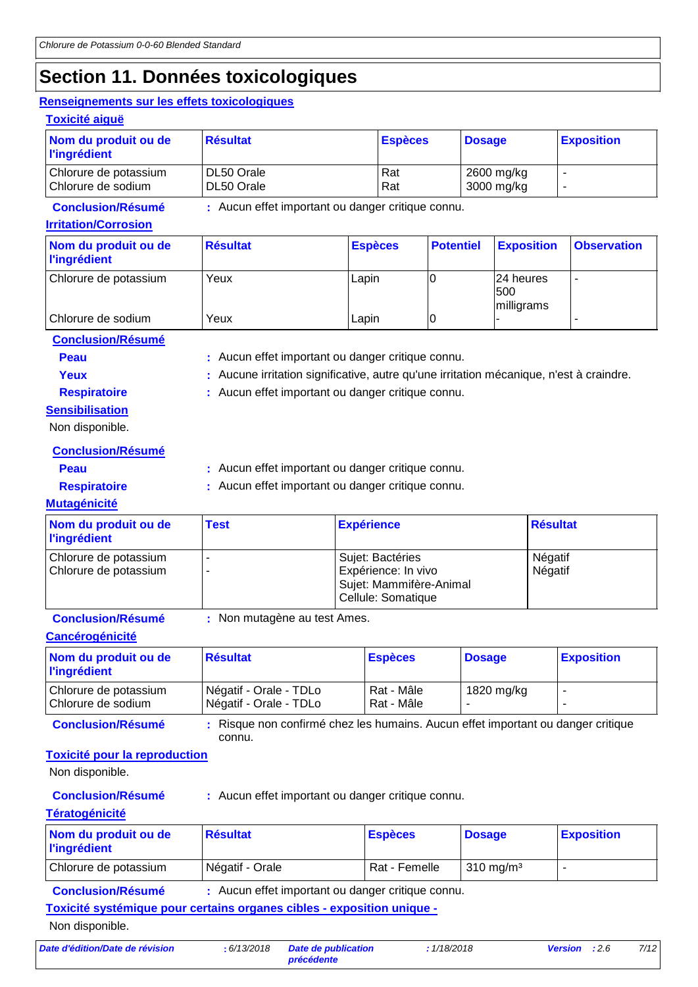### **Section 11. Données toxicologiques**

#### **Renseignements sur les effets toxicologiques**

| <b>Toxicité aiguë</b>                       |                                                   |                |                          |                   |
|---------------------------------------------|---------------------------------------------------|----------------|--------------------------|-------------------|
| Nom du produit ou de<br><b>l'ingrédient</b> | <b>Résultat</b>                                   | <b>Espèces</b> | <b>Dosage</b>            | <b>Exposition</b> |
| Chlorure de potassium<br>Chlorure de sodium | DL50 Orale<br>DL50 Orale                          | Rat<br>Rat     | 2600 mg/kg<br>3000 mg/kg |                   |
| <b>Conclusion/Résumé</b>                    | : Aucun effet important ou danger critique connu. |                |                          |                   |

#### **Irritation/Corrosion**

| Nom du produit ou de<br><b>l'ingrédient</b> | <b>Résultat</b> | <b>Espèces</b> | <b>Potentiel</b> | <b>Exposition</b>               | <b>Observation</b> |
|---------------------------------------------|-----------------|----------------|------------------|---------------------------------|--------------------|
| Chlorure de potassium                       | Yeux            | Lapin          |                  | 124 heures<br>500<br>milligrams | ٠                  |
| Chlorure de sodium                          | Yeux            | Lapin          | 0                |                                 |                    |

**Conclusion/Résumé**

- **Peau** : Aucun effet important ou danger critique connu.
- 
- Yeux **:** Aucune irritation significative, autre qu'une irritation mécanique, n'est à craindre.

**Sensibilisation**

**Respiratoire :** Aucun effet important ou danger critique connu.

Non disponible.

**Conclusion/Résumé**

**Peau** : Aucun effet important ou danger critique connu.

**Respiratoire :** Aucun effet important ou danger critique connu.

### **Mutagénicité**

| Nom du produit ou de<br><b>l'ingrédient</b>    | <b>Test</b> | <b>Expérience</b>                                                                        | <b>Résultat</b>    |
|------------------------------------------------|-------------|------------------------------------------------------------------------------------------|--------------------|
| Chlorure de potassium<br>Chlorure de potassium |             | Sujet: Bactéries<br>Expérience: In vivo<br>Sujet: Mammifère-Animal<br>Cellule: Somatique | Négatif<br>Négatif |

**Conclusion/Résumé :** Non mutagène au test Ames.

### **Cancérogénicité**

| Nom du produit ou de<br><b>l'ingrédient</b> | <b>Résultat</b>                                  | <b>Espèces</b>           | <b>Dosage</b> | <b>Exposition</b> |
|---------------------------------------------|--------------------------------------------------|--------------------------|---------------|-------------------|
| Chlorure de potassium<br>Chlorure de sodium | Négatif - Orale - TDLo<br>Négatif - Orale - TDLo | Rat - Mâle<br>Rat - Mâle | 1820 mg/kg    |                   |

**Conclusion/Résumé :** Risque non confirmé chez les humains. Aucun effet important ou danger critique connu.

### **Toxicité pour la reproduction**

Non disponible.

**Conclusion/Résumé :** Aucun effet important ou danger critique connu.

### **Tératogénicité**

| Nom du produit ou de<br><b>l'ingrédient</b> | <b>Résultat</b> | <b>Espèces</b> | <b>Dosage</b>        | <b>Exposition</b> |
|---------------------------------------------|-----------------|----------------|----------------------|-------------------|
| Chlorure de potassium                       | Négatif - Orale | Rat - Femelle  | $310 \text{ ma/m}^3$ | -                 |

**Conclusion/Résumé :** Aucun effet important ou danger critique connu.

**Toxicité systémique pour certains organes cibles - exposition unique -**

Non disponible.

*Date d'édition/Date de révision* **:** *6/13/2018 Date de publication*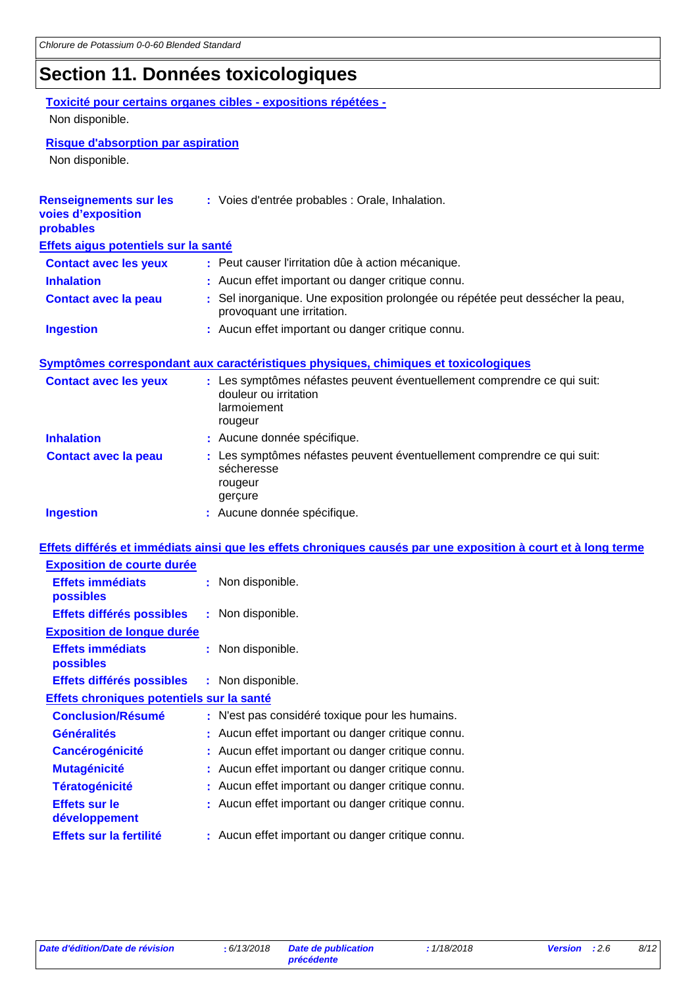# **Section 11. Données toxicologiques**

### **Toxicité pour certains organes cibles - expositions répétées -** Non disponible.

**Risque d'absorption par aspiration**

Non disponible.

| <b>Renseignements sur les</b><br>voies d'exposition<br>probables | : Voies d'entrée probables : Orale, Inhalation.                                                                            |
|------------------------------------------------------------------|----------------------------------------------------------------------------------------------------------------------------|
| Effets aigus potentiels sur la santé                             |                                                                                                                            |
| <b>Contact avec les yeux</b>                                     | : Peut causer l'irritation dûe à action mécanique.                                                                         |
| <b>Inhalation</b>                                                | : Aucun effet important ou danger critique connu.                                                                          |
| <b>Contact avec la peau</b>                                      | : Sel inorganique. Une exposition prolongée ou répétée peut dessécher la peau,<br>provoquant une irritation.               |
| <b>Ingestion</b>                                                 | : Aucun effet important ou danger critique connu.                                                                          |
|                                                                  | Symptômes correspondant aux caractéristiques physiques, chimiques et toxicologiques                                        |
| <b>Contact avec les yeux</b>                                     | : Les symptômes néfastes peuvent éventuellement comprendre ce qui suit:<br>douleur ou irritation<br>larmoiement<br>rougeur |
| <b>Inhalation</b>                                                | : Aucune donnée spécifique.                                                                                                |
| <b>Contact avec la peau</b>                                      | : Les symptômes néfastes peuvent éventuellement comprendre ce qui suit:<br>sécheresse<br>rougeur<br>gerçure                |
| <b>Ingestion</b>                                                 | : Aucune donnée spécifique.                                                                                                |
|                                                                  | Effets différés et immédiats ainsi que les effets chroniques causés par une exposition à court et à long terme             |
| <b>Exposition de courte durée</b>                                |                                                                                                                            |
| <b>Effets immédiats</b><br>possibles                             | : Non disponible.                                                                                                          |
| Effets différés possibles                                        | : Non disponible.                                                                                                          |
| <b>Exposition de longue durée</b>                                |                                                                                                                            |
| <b>Effets immédiats</b><br>possibles                             | : Non disponible.                                                                                                          |
| Effets différés possibles                                        | : Non disponible.                                                                                                          |
| Effets chroniques potentiels sur la santé                        |                                                                                                                            |
| <b>Conclusion/Résumé</b>                                         | : N'est pas considéré toxique pour les humains.                                                                            |
| <b>Généralités</b>                                               | : Aucun effet important ou danger critique connu.                                                                          |
| <b>Cancérogénicité</b>                                           | Aucun effet important ou danger critique connu.                                                                            |
| <b>Mutagénicité</b>                                              | : Aucun effet important ou danger critique connu.                                                                          |
| <b>Tératogénicité</b>                                            | : Aucun effet important ou danger critique connu.                                                                          |
| <b>Effets sur le</b><br>développement                            | : Aucun effet important ou danger critique connu.                                                                          |
| Effets sur la fertilité                                          | : Aucun effet important ou danger critique connu.                                                                          |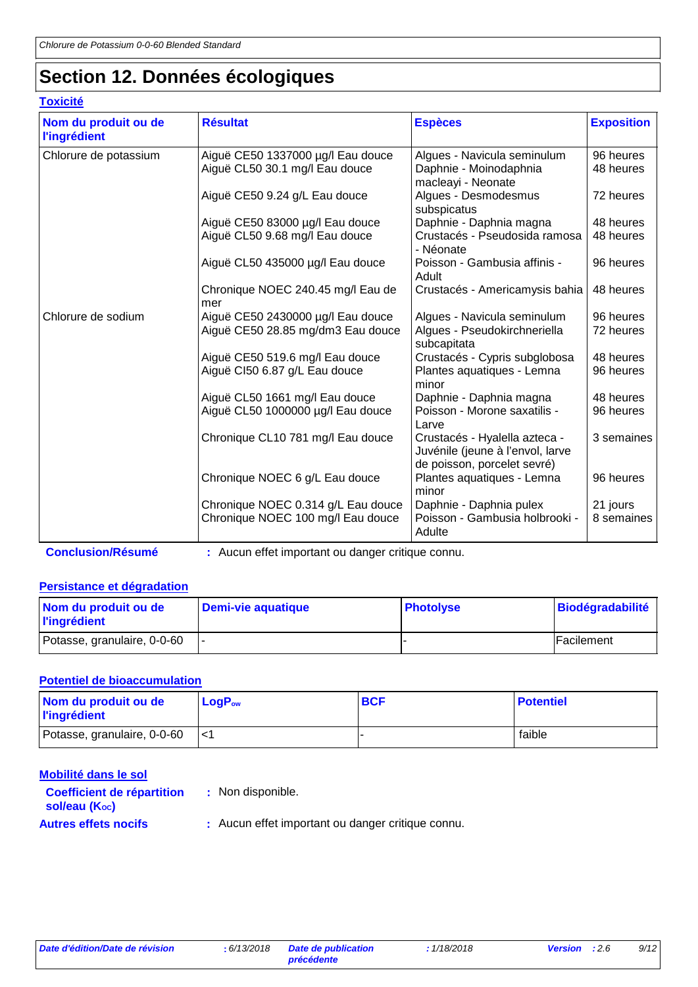# **Section 12. Données écologiques**

### **Toxicité**

| Nom du produit ou de<br><b>l'ingrédient</b> | <b>Résultat</b>                                                         | <b>Espèces</b>                                                                                   | <b>Exposition</b>      |
|---------------------------------------------|-------------------------------------------------------------------------|--------------------------------------------------------------------------------------------------|------------------------|
| Chlorure de potassium                       | Aiguë CE50 1337000 µg/l Eau douce<br>Aiguë CL50 30.1 mg/l Eau douce     | Algues - Navicula seminulum<br>Daphnie - Moinodaphnia<br>macleayi - Neonate                      | 96 heures<br>48 heures |
|                                             | Aiguë CE50 9.24 g/L Eau douce                                           | Algues - Desmodesmus<br>subspicatus                                                              | 72 heures              |
|                                             | Aiguë CE50 83000 µg/l Eau douce<br>Aiguë CL50 9.68 mg/l Eau douce       | Daphnie - Daphnia magna<br>Crustacés - Pseudosida ramosa<br>- Néonate                            | 48 heures<br>48 heures |
|                                             | Aiguë CL50 435000 µg/l Eau douce                                        | Poisson - Gambusia affinis -<br>Adult                                                            | 96 heures              |
|                                             | Chronique NOEC 240.45 mg/l Eau de<br>mer                                | Crustacés - Americamysis bahia                                                                   | 48 heures              |
| Chlorure de sodium                          | Aiguë CE50 2430000 µg/l Eau douce<br>Aiguë CE50 28.85 mg/dm3 Eau douce  | Algues - Navicula seminulum<br>Algues - Pseudokirchneriella<br>subcapitata                       | 96 heures<br>72 heures |
|                                             | Aiguë CE50 519.6 mg/l Eau douce<br>Aiguë CI50 6.87 g/L Eau douce        | Crustacés - Cypris subglobosa<br>Plantes aquatiques - Lemna<br>minor                             | 48 heures<br>96 heures |
|                                             | Aiguë CL50 1661 mg/l Eau douce<br>Aiguë CL50 1000000 µg/l Eau douce     | Daphnie - Daphnia magna<br>Poisson - Morone saxatilis -<br>Larve                                 | 48 heures<br>96 heures |
|                                             | Chronique CL10 781 mg/l Eau douce                                       | Crustacés - Hyalella azteca -<br>Juvénile (jeune à l'envol, larve<br>de poisson, porcelet sevré) | 3 semaines             |
|                                             | Chronique NOEC 6 g/L Eau douce                                          | Plantes aquatiques - Lemna<br>minor                                                              | 96 heures              |
|                                             | Chronique NOEC 0.314 g/L Eau douce<br>Chronique NOEC 100 mg/l Eau douce | Daphnie - Daphnia pulex<br>Poisson - Gambusia holbrooki -<br>Adulte                              | 21 jours<br>8 semaines |

**Conclusion/Résumé :** Aucun effet important ou danger critique connu.

### **Persistance et dégradation**

| Nom du produit ou de<br><b>l'ingrédient</b> | Demi-vie aquatique | <b>Photolyse</b> | <b>Biodégradabilité</b> |
|---------------------------------------------|--------------------|------------------|-------------------------|
| Potasse, granulaire, 0-0-60                 |                    |                  | Facilement              |

### **Potentiel de bioaccumulation**

| Nom du produit ou de<br><b>l'ingrédient</b> | $\mathsf{LogP}_\mathsf{ow}$ | <b>BCF</b> | <b>Potentiel</b> |
|---------------------------------------------|-----------------------------|------------|------------------|
| Potasse, granulaire, 0-0-60                 |                             |            | faible           |

| Mobilité dans le sol                               |                                                   |
|----------------------------------------------------|---------------------------------------------------|
| <b>Coefficient de répartition</b><br>sol/eau (Koc) | : Non disponible.                                 |
| <b>Autres effets nocifs</b>                        | : Aucun effet important ou danger critique connu. |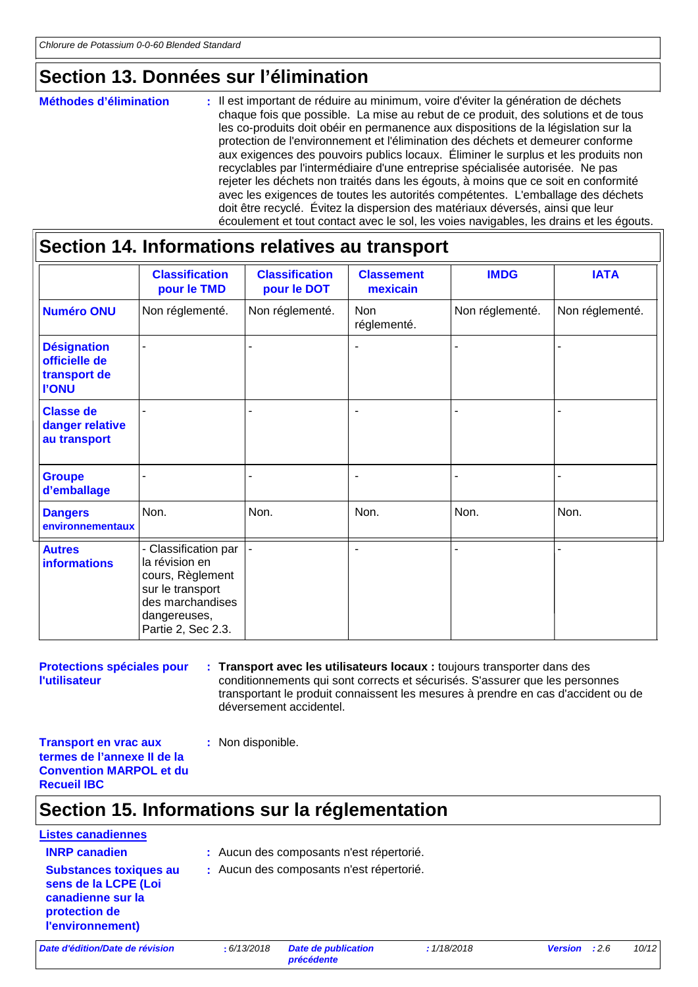### **Section 13. Données sur l'élimination**

#### : Il est important de réduire au minimum, voire d'éviter la génération de déchets chaque fois que possible. La mise au rebut de ce produit, des solutions et de tous les co-produits doit obéir en permanence aux dispositions de la législation sur la protection de l'environnement et l'élimination des déchets et demeurer conforme aux exigences des pouvoirs publics locaux. Éliminer le surplus et les produits non recyclables par l'intermédiaire d'une entreprise spécialisée autorisée. Ne pas rejeter les déchets non traités dans les égouts, à moins que ce soit en conformité avec les exigences de toutes les autorités compétentes. L'emballage des déchets doit être recyclé. Évitez la dispersion des matériaux déversés, ainsi que leur écoulement et tout contact avec le sol, les voies navigables, les drains et les égouts. **Méthodes d'élimination :**

### **Section 14. Informations relatives au transport**

|                                                                     | <b>Classification</b><br>pour le TMD                                                                                                     | <b>Classification</b><br>pour le DOT | <b>Classement</b><br>mexicain | <b>IMDG</b>     | <b>IATA</b>     |
|---------------------------------------------------------------------|------------------------------------------------------------------------------------------------------------------------------------------|--------------------------------------|-------------------------------|-----------------|-----------------|
| <b>Numéro ONU</b>                                                   | Non réglementé.                                                                                                                          | Non réglementé.                      | <b>Non</b><br>réglementé.     | Non réglementé. | Non réglementé. |
| <b>Désignation</b><br>officielle de<br>transport de<br><b>I'ONU</b> |                                                                                                                                          |                                      | ٠                             |                 |                 |
| <b>Classe de</b><br>danger relative<br>au transport                 |                                                                                                                                          |                                      |                               |                 |                 |
| <b>Groupe</b><br>d'emballage                                        |                                                                                                                                          | $\blacksquare$                       | $\blacksquare$                | ۰               |                 |
| <b>Dangers</b><br>environnementaux                                  | Non.                                                                                                                                     | Non.                                 | Non.                          | Non.            | Non.            |
| <b>Autres</b><br><b>informations</b>                                | - Classification par<br>la révision en<br>cours, Règlement<br>sur le transport<br>des marchandises<br>dangereuses,<br>Partie 2, Sec 2.3. |                                      | ٠                             |                 |                 |

**Protections spéciales pour l'utilisateur**

**Transport avec les utilisateurs locaux :** toujours transporter dans des **:** conditionnements qui sont corrects et sécurisés. S'assurer que les personnes transportant le produit connaissent les mesures à prendre en cas d'accident ou de déversement accidentel.

**Transport en vrac aux termes de l'annexe II de la Convention MARPOL et du Recueil IBC**

### **Section 15. Informations sur la réglementation**

**:** Non disponible.

# **Listes canadiennes Substances toxiques au**

- **INRP canadien :** Aucun des composants n'est répertorié.
- **sens de la LCPE (Loi canadienne sur la protection de :** Aucun des composants n'est répertorié.

*Date d'édition/Date de révision* **:** *6/13/2018 Date de publication* 

**l'environnement)**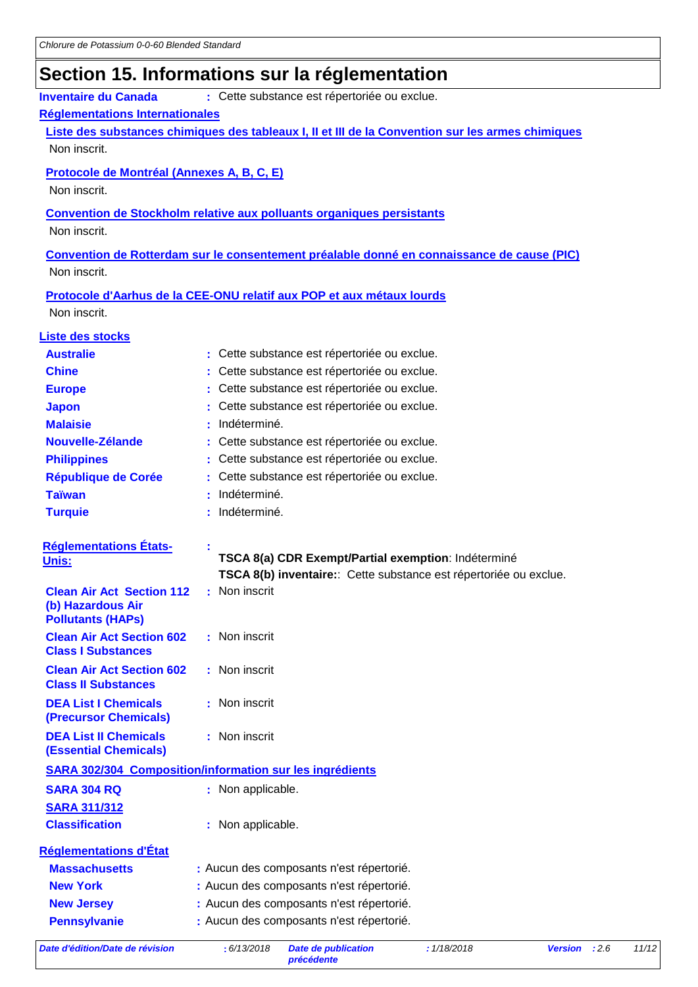# **Section 15. Informations sur la réglementation**

| <b>Inventaire du Canada</b><br>: Cette substance est répertoriée ou exclue.                  |                                                                                                   |  |  |  |  |
|----------------------------------------------------------------------------------------------|---------------------------------------------------------------------------------------------------|--|--|--|--|
| <b>Réglementations Internationales</b>                                                       |                                                                                                   |  |  |  |  |
|                                                                                              | Liste des substances chimiques des tableaux I, II et III de la Convention sur les armes chimiques |  |  |  |  |
| Non inscrit.                                                                                 |                                                                                                   |  |  |  |  |
| Protocole de Montréal (Annexes A, B, C, E)                                                   |                                                                                                   |  |  |  |  |
| Non inscrit.                                                                                 |                                                                                                   |  |  |  |  |
|                                                                                              |                                                                                                   |  |  |  |  |
| <b>Convention de Stockholm relative aux polluants organiques persistants</b><br>Non inscrit. |                                                                                                   |  |  |  |  |
|                                                                                              |                                                                                                   |  |  |  |  |
|                                                                                              | Convention de Rotterdam sur le consentement préalable donné en connaissance de cause (PIC)        |  |  |  |  |
| Non inscrit.                                                                                 |                                                                                                   |  |  |  |  |
|                                                                                              | Protocole d'Aarhus de la CEE-ONU relatif aux POP et aux métaux lourds                             |  |  |  |  |
| Non inscrit.                                                                                 |                                                                                                   |  |  |  |  |
| <b>Liste des stocks</b>                                                                      |                                                                                                   |  |  |  |  |
| <b>Australie</b>                                                                             | : Cette substance est répertoriée ou exclue.                                                      |  |  |  |  |
| <b>Chine</b>                                                                                 | Cette substance est répertoriée ou exclue.                                                        |  |  |  |  |
| <b>Europe</b>                                                                                | Cette substance est répertoriée ou exclue.                                                        |  |  |  |  |
| <b>Japon</b>                                                                                 | Cette substance est répertoriée ou exclue.                                                        |  |  |  |  |
| <b>Malaisie</b>                                                                              | Indéterminé.                                                                                      |  |  |  |  |
| Nouvelle-Zélande                                                                             | Cette substance est répertoriée ou exclue.                                                        |  |  |  |  |
| <b>Philippines</b>                                                                           | Cette substance est répertoriée ou exclue.                                                        |  |  |  |  |
| <b>République de Corée</b>                                                                   | Cette substance est répertoriée ou exclue.                                                        |  |  |  |  |
| <b>Taïwan</b>                                                                                | Indéterminé.                                                                                      |  |  |  |  |
| <b>Turquie</b>                                                                               | Indéterminé.                                                                                      |  |  |  |  |
|                                                                                              |                                                                                                   |  |  |  |  |
| <b>Réglementations États-</b><br>Unis:                                                       | TSCA 8(a) CDR Exempt/Partial exemption: Indéterminé                                               |  |  |  |  |
|                                                                                              | TSCA 8(b) inventaire: Cette substance est répertoriée ou exclue.                                  |  |  |  |  |
| <b>Clean Air Act Section 112</b>                                                             | : Non inscrit                                                                                     |  |  |  |  |
| (b) Hazardous Air                                                                            |                                                                                                   |  |  |  |  |
| <b>Pollutants (HAPs)</b><br><b>Clean Air Act Section 602</b>                                 | : Non inscrit                                                                                     |  |  |  |  |
| <b>Class I Substances</b>                                                                    |                                                                                                   |  |  |  |  |
| <b>Clean Air Act Section 602</b>                                                             | : Non inscrit                                                                                     |  |  |  |  |
| <b>Class II Substances</b>                                                                   |                                                                                                   |  |  |  |  |
| <b>DEA List I Chemicals</b>                                                                  | : Non inscrit                                                                                     |  |  |  |  |
| (Precursor Chemicals)                                                                        |                                                                                                   |  |  |  |  |
| <b>DEA List II Chemicals</b>                                                                 | : Non inscrit                                                                                     |  |  |  |  |
| <b>(Essential Chemicals)</b>                                                                 |                                                                                                   |  |  |  |  |
|                                                                                              | <b>SARA 302/304 Composition/information sur les ingrédients</b>                                   |  |  |  |  |
| <b>SARA 304 RQ</b>                                                                           | : Non applicable.                                                                                 |  |  |  |  |
| <b>SARA 311/312</b>                                                                          |                                                                                                   |  |  |  |  |
| <b>Classification</b>                                                                        | : Non applicable.                                                                                 |  |  |  |  |
| <b>Réglementations d'État</b>                                                                |                                                                                                   |  |  |  |  |
| <b>Massachusetts</b>                                                                         | : Aucun des composants n'est répertorié.                                                          |  |  |  |  |
| <b>New York</b>                                                                              | : Aucun des composants n'est répertorié.                                                          |  |  |  |  |
| <b>New Jersey</b>                                                                            | : Aucun des composants n'est répertorié.                                                          |  |  |  |  |
| <b>Pennsylvanie</b>                                                                          | : Aucun des composants n'est répertorié.                                                          |  |  |  |  |
|                                                                                              |                                                                                                   |  |  |  |  |

*Date d'édition/Date de révision* **:** *6/13/2018 Date de publication*